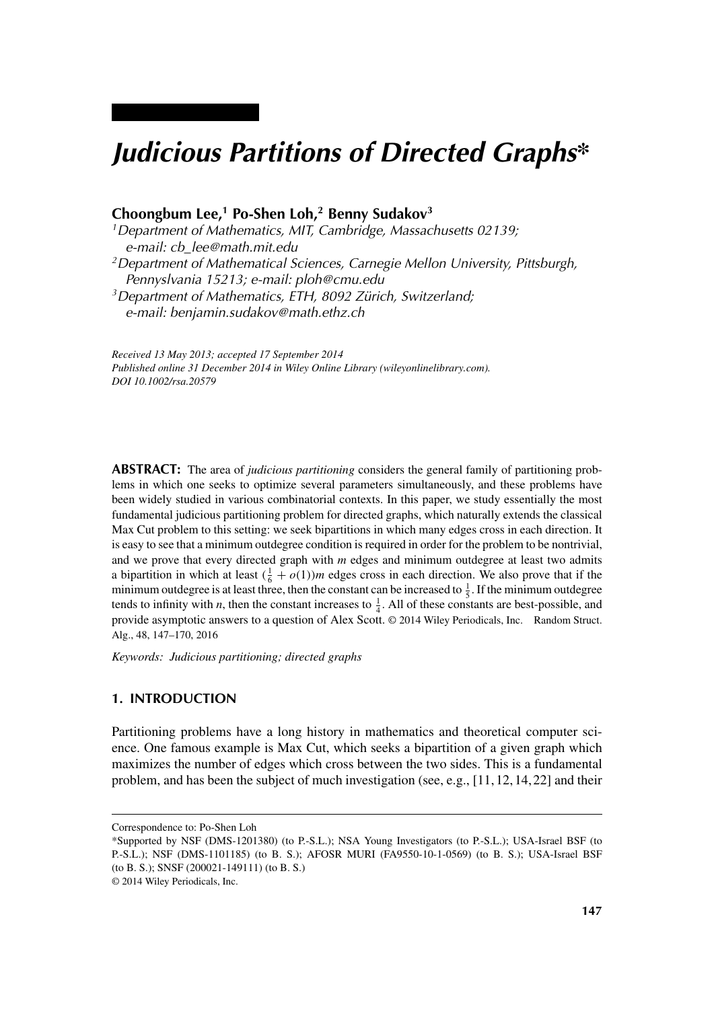# *Judicious Partitions of Directed Graphs\**

## **Choongbum Lee,1 Po-Shen Loh,2 Benny Sudakov3**

*1Department of Mathematics, MIT, Cambridge, Massachusetts 02139; e-mail: cb\_lee@math.mit.edu 2Department of Mathematical Sciences, Carnegie Mellon University, Pittsburgh, Pennyslvania 15213; e-mail: ploh@cmu.edu 3Department of Mathematics, ETH, 8092 Zürich, Switzerland;*

*e-mail: benjamin.sudakov@math.ethz.ch*

*Received 13 May 2013; accepted 17 September 2014 Published online 31 December 2014 in Wiley Online Library (wileyonlinelibrary.com). DOI 10.1002/rsa.20579*

**ABSTRACT:** The area of *judicious partitioning* considers the general family of partitioning problems in which one seeks to optimize several parameters simultaneously, and these problems have been widely studied in various combinatorial contexts. In this paper, we study essentially the most fundamental judicious partitioning problem for directed graphs, which naturally extends the classical Max Cut problem to this setting: we seek bipartitions in which many edges cross in each direction. It is easy to see that a minimum outdegree condition is required in order for the problem to be nontrivial, and we prove that every directed graph with *m* edges and minimum outdegree at least two admits a bipartition in which at least  $(\frac{1}{6} + o(1))m$  edges cross in each direction. We also prove that if the minimum outdegree is at least three, then the constant can be increased to  $\frac{1}{5}$ . If the minimum outdegree tends to infinity with *n*, then the constant increases to  $\frac{1}{4}$ . All of these constants are best-possible, and provide asymptotic answers to a question of Alex Scott. © 2014 Wiley Periodicals, Inc. Random Struct. Alg., 48, 147–170, 2016

*Keywords: Judicious partitioning; directed graphs*

#### **1. INTRODUCTION**

Partitioning problems have a long history in mathematics and theoretical computer science. One famous example is Max Cut, which seeks a bipartition of a given graph which maximizes the number of edges which cross between the two sides. This is a fundamental problem, and has been the subject of much investigation (see, e.g., [11, 12, 14, 22] and their

Correspondence to: Po-Shen Loh

<sup>\*</sup>Supported by NSF (DMS-1201380) (to P.-S.L.); NSA Young Investigators (to P.-S.L.); USA-Israel BSF (to P.-S.L.); NSF (DMS-1101185) (to B. S.); AFOSR MURI (FA9550-10-1-0569) (to B. S.); USA-Israel BSF (to B. S.); SNSF (200021-149111) (to B. S.)

<sup>© 2014</sup> Wiley Periodicals, Inc.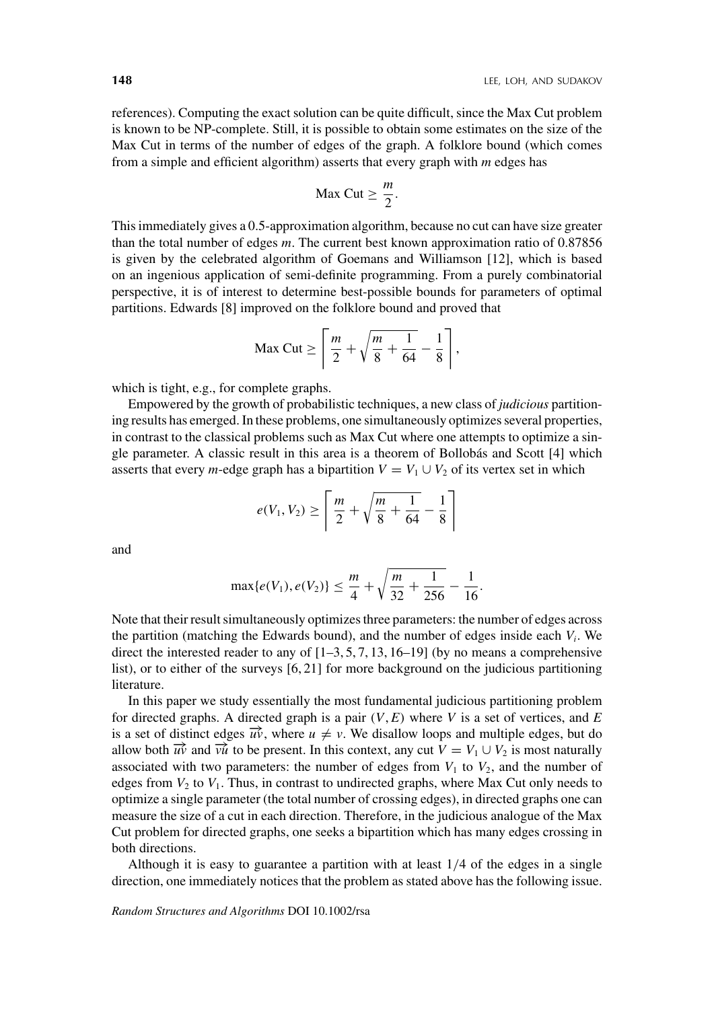references). Computing the exact solution can be quite difficult, since the Max Cut problem is known to be NP-complete. Still, it is possible to obtain some estimates on the size of the Max Cut in terms of the number of edges of the graph. A folklore bound (which comes from a simple and efficient algorithm) asserts that every graph with *m* edges has

$$
Max Cut \geq \frac{m}{2}.
$$

This immediately gives a 0.5-approximation algorithm, because no cut can have size greater than the total number of edges *m*. The current best known approximation ratio of 0.87856 is given by the celebrated algorithm of Goemans and Williamson [12], which is based on an ingenious application of semi-definite programming. From a purely combinatorial perspective, it is of interest to determine best-possible bounds for parameters of optimal partitions. Edwards [8] improved on the folklore bound and proved that

$$
\text{Max Cut} \ge \left\lceil \frac{m}{2} + \sqrt{\frac{m}{8} + \frac{1}{64}} - \frac{1}{8} \right\rceil,
$$

which is tight, e.g., for complete graphs.

Empowered by the growth of probabilistic techniques, a new class of *judicious* partitioning results has emerged. In these problems, one simultaneously optimizes several properties, in contrast to the classical problems such as Max Cut where one attempts to optimize a single parameter. A classic result in this area is a theorem of Bollobás and Scott [4] which asserts that every *m*-edge graph has a bipartition  $V = V_1 \cup V_2$  of its vertex set in which

$$
e(V_1, V_2) \ge \left\lceil \frac{m}{2} + \sqrt{\frac{m}{8} + \frac{1}{64}} - \frac{1}{8} \right\rceil
$$

and

$$
\max\{e(V_1), e(V_2)\} \le \frac{m}{4} + \sqrt{\frac{m}{32} + \frac{1}{256}} - \frac{1}{16}.
$$

Note that their result simultaneously optimizes three parameters: the number of edges across the partition (matching the Edwards bound), and the number of edges inside each  $V_i$ . We direct the interested reader to any of  $[1-3, 5, 7, 13, 16-19]$  (by no means a comprehensive list), or to either of the surveys [6, 21] for more background on the judicious partitioning literature.

In this paper we study essentially the most fundamental judicious partitioning problem for directed graphs. A directed graph is a pair  $(V, E)$  where V is a set of vertices, and E is a set of distinct edges  $\vec{u}$ , where  $u \neq v$ . We disallow loops and multiple edges, but do allow both  $\vec{uv}$  and  $\vec{vu}$  to be present. In this context, any cut  $V = V_1 \cup V_2$  is most naturally associated with two parameters: the number of edges from  $V_1$  to  $V_2$ , and the number of edges from  $V_2$  to  $V_1$ . Thus, in contrast to undirected graphs, where Max Cut only needs to optimize a single parameter (the total number of crossing edges), in directed graphs one can measure the size of a cut in each direction. Therefore, in the judicious analogue of the Max Cut problem for directed graphs, one seeks a bipartition which has many edges crossing in both directions.

Although it is easy to guarantee a partition with at least 1*/*4 of the edges in a single direction, one immediately notices that the problem as stated above has the following issue.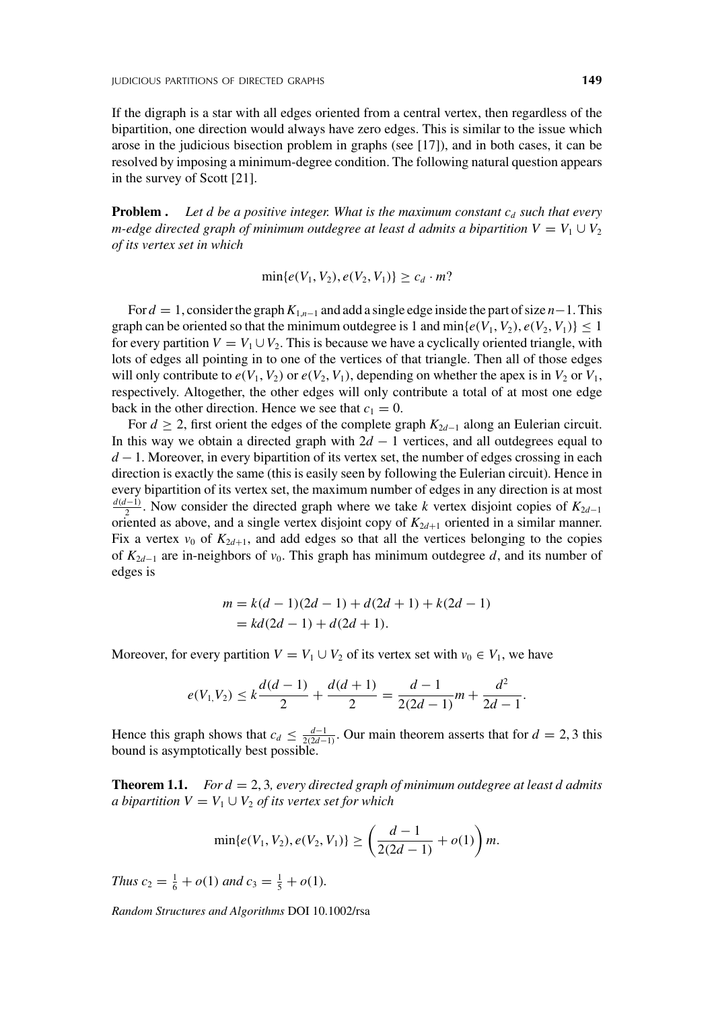If the digraph is a star with all edges oriented from a central vertex, then regardless of the bipartition, one direction would always have zero edges. This is similar to the issue which arose in the judicious bisection problem in graphs (see [17]), and in both cases, it can be resolved by imposing a minimum-degree condition. The following natural question appears in the survey of Scott [21].

**Problem .** Let  $d$  be a positive integer. What is the maximum constant  $c_d$  such that every *m-edge directed graph of minimum outdegree at least d admits a bipartition*  $V = V_1 \cup V_2$ *of its vertex set in which*

$$
\min\{e(V_1, V_2), e(V_2, V_1)\} \ge c_d \cdot m?
$$

For *d* = 1, consider the graph*K*1,*n*−<sup>1</sup> and add a single edge inside the part of size *n*−1. This graph can be oriented so that the minimum outdegree is 1 and  $\min\{e(V_1, V_2), e(V_2, V_1)\} \leq 1$ for every partition  $V = V_1 \cup V_2$ . This is because we have a cyclically oriented triangle, with lots of edges all pointing in to one of the vertices of that triangle. Then all of those edges will only contribute to  $e(V_1, V_2)$  or  $e(V_2, V_1)$ , depending on whether the apex is in  $V_2$  or  $V_1$ , respectively. Altogether, the other edges will only contribute a total of at most one edge back in the other direction. Hence we see that  $c_1 = 0$ .

For  $d \geq 2$ , first orient the edges of the complete graph  $K_{2d-1}$  along an Eulerian circuit. In this way we obtain a directed graph with  $2d - 1$  vertices, and all outdegrees equal to *d* − 1. Moreover, in every bipartition of its vertex set, the number of edges crossing in each direction is exactly the same (this is easily seen by following the Eulerian circuit). Hence in every bipartition of its vertex set, the maximum number of edges in any direction is at most  $\frac{d(d-1)}{2}$ . Now consider the directed graph where we take *k* vertex disjoint copies of  $K_{2d-1}$ oriented as above, and a single vertex disjoint copy of  $K_{2d+1}$  oriented in a similar manner. Fix a vertex  $v_0$  of  $K_{2d+1}$ , and add edges so that all the vertices belonging to the copies of *K*2*d*−<sup>1</sup> are in-neighbors of *v*0. This graph has minimum outdegree *d*, and its number of edges is

$$
m = k(d - 1)(2d - 1) + d(2d + 1) + k(2d - 1)
$$
  
=  $kd(2d - 1) + d(2d + 1)$ .

Moreover, for every partition  $V = V_1 \cup V_2$  of its vertex set with  $v_0 \in V_1$ , we have

$$
e(V_1,V_2) \le k\frac{d(d-1)}{2} + \frac{d(d+1)}{2} = \frac{d-1}{2(2d-1)}m + \frac{d^2}{2d-1}.
$$

Hence this graph shows that  $c_d \leq \frac{d-1}{2(2d-1)}$ . Our main theorem asserts that for  $d = 2, 3$  this bound is asymptotically best possible.

**Theorem 1.1.** *For d* = 2, 3*, every directed graph of minimum outdegree at least d admits a bipartition*  $V = V_1 \cup V_2$  *of its vertex set for which* 

$$
\min\{e(V_1, V_2), e(V_2, V_1)\} \ge \left(\frac{d-1}{2(2d-1)} + o(1)\right)m.
$$

*Thus*  $c_2 = \frac{1}{6} + o(1)$  *and*  $c_3 = \frac{1}{5} + o(1)$ *.*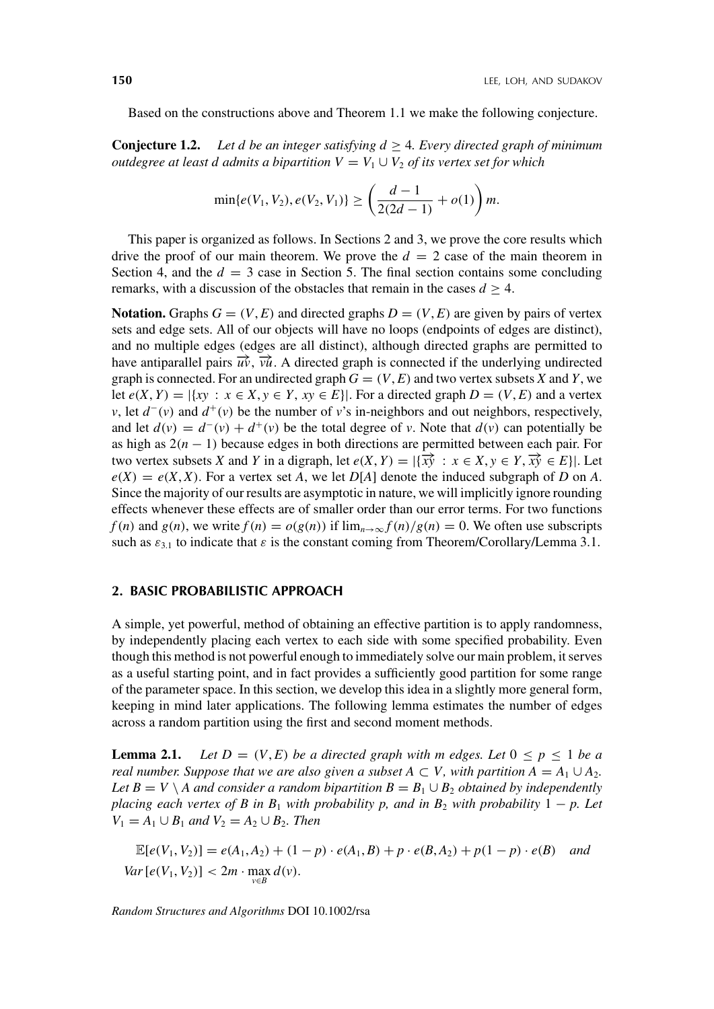Based on the constructions above and Theorem 1.1 we make the following conjecture.

**Conjecture 1.2.** Let d be an integer satisfying  $d \geq 4$ . Every directed graph of minimum *outdegree at least d admits a bipartition*  $V = V_1 \cup V_2$  *of its vertex set for which* 

$$
\min\{e(V_1, V_2), e(V_2, V_1)\} \ge \left(\frac{d-1}{2(2d-1)} + o(1)\right)m.
$$

This paper is organized as follows. In Sections 2 and 3, we prove the core results which drive the proof of our main theorem. We prove the  $d = 2$  case of the main theorem in Section 4, and the  $d = 3$  case in Section 5. The final section contains some concluding remarks, with a discussion of the obstacles that remain in the cases  $d \geq 4$ .

**Notation.** Graphs  $G = (V, E)$  and directed graphs  $D = (V, E)$  are given by pairs of vertex sets and edge sets. All of our objects will have no loops (endpoints of edges are distinct), and no multiple edges (edges are all distinct), although directed graphs are permitted to have antiparallel pairs  $\vec{u}$ ,  $\vec{v}$ ,  $\vec{u}$ . A directed graph is connected if the underlying undirected graph is connected. For an undirected graph  $G = (V, E)$  and two vertex subsets X and Y, we let  $e(X, Y) = |\{xy : x \in X, y \in Y, xy \in E\}|$ . For a directed graph  $D = (V, E)$  and a vertex *v*, let  $d^-(v)$  and  $d^+(v)$  be the number of *v*'s in-neighbors and out neighbors, respectively, and let  $d(v) = d^-(v) + d^+(v)$  be the total degree of v. Note that  $d(v)$  can potentially be as high as 2*(n* − 1*)* because edges in both directions are permitted between each pair. For two vertex subsets *X* and *Y* in a digraph, let  $e(X, Y) = |\{x\hat{y} : x \in X, y \in Y, \overline{x}\hat{y} \in E\}|$ . Let  $e(X) = e(X, X)$ . For a vertex set *A*, we let *D*[*A*] denote the induced subgraph of *D* on *A*. Since the majority of our results are asymptotic in nature, we will implicitly ignore rounding effects whenever these effects are of smaller order than our error terms. For two functions  $f(n)$  and  $g(n)$ , we write  $f(n) = o(g(n))$  if  $\lim_{n\to\infty} f(n)/g(n) = 0$ . We often use subscripts such as  $\varepsilon_{3.1}$  to indicate that  $\varepsilon$  is the constant coming from Theorem/Corollary/Lemma 3.1.

### **2. BASIC PROBABILISTIC APPROACH**

A simple, yet powerful, method of obtaining an effective partition is to apply randomness, by independently placing each vertex to each side with some specified probability. Even though this method is not powerful enough to immediately solve our main problem, it serves as a useful starting point, and in fact provides a sufficiently good partition for some range of the parameter space. In this section, we develop this idea in a slightly more general form, keeping in mind later applications. The following lemma estimates the number of edges across a random partition using the first and second moment methods.

**Lemma 2.1.** Let  $D = (V, E)$  be a directed graph with m edges. Let  $0 \le p \le 1$  be a *real number. Suppose that we are also given a subset A*  $\subset$  *V*, with partition  $A = A_1 \cup A_2$ . *Let*  $B = V \setminus A$  *and consider a random bipartition*  $B = B_1 \cup B_2$  *obtained by independently placing each vertex of B in B*<sub>1</sub> *with probability p, and in B*<sub>2</sub> *with probability*  $1 - p$ *. Let V*<sub>1</sub> = *A*<sub>1</sub> ∪ *B*<sub>1</sub> *and V*<sub>2</sub> = *A*<sub>2</sub> ∪ *B*<sub>2</sub>*. Then* 

 $\mathbb{E}[e(V_1, V_2)] = e(A_1, A_2) + (1-p) \cdot e(A_1, B) + p \cdot e(B, A_2) + p(1-p) \cdot e(B)$  and *Var*  $[e(V_1, V_2)] < 2m \cdot \max_{v \in B} d(v)$ .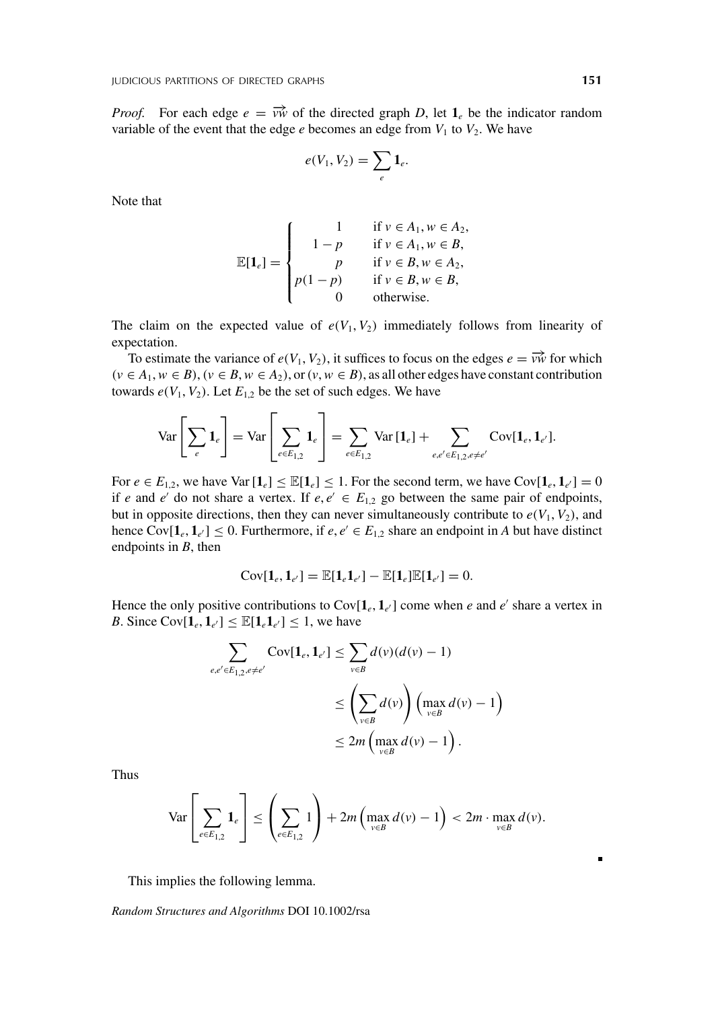*Proof.* For each edge  $e = \overrightarrow{vw}$  of the directed graph *D*, let  $\mathbf{1}_e$  be the indicator random variable of the event that the edge  $e$  becomes an edge from  $V_1$  to  $V_2$ . We have

$$
e(V_1,V_2)=\sum_e \mathbf{1}_e.
$$

Note that

$$
\mathbb{E}[\mathbf{1}_e] = \begin{cases}\n1 & \text{if } v \in A_1, w \in A_2, \\
1 - p & \text{if } v \in A_1, w \in B, \\
p & \text{if } v \in B, w \in A_2, \\
p(1 - p) & \text{if } v \in B, w \in B, \\
0 & \text{otherwise.} \n\end{cases}
$$

The claim on the expected value of  $e(V_1, V_2)$  immediately follows from linearity of expectation.

To estimate the variance of  $e(V_1, V_2)$ , it suffices to focus on the edges  $e = \overrightarrow{vw}$  for which  $(v ∈ A<sub>1</sub>, w ∈ B)$ ,  $(v ∈ B, w ∈ A<sub>2</sub>)$ , or  $(v, w ∈ B)$ , as all other edges have constant contribution towards  $e(V_1, V_2)$ . Let  $E_{1,2}$  be the set of such edges. We have

$$
\text{Var}\left[\sum_{e} \mathbf{1}_{e}\right] = \text{Var}\left[\sum_{e \in E_{1,2}} \mathbf{1}_{e}\right] = \sum_{e \in E_{1,2}} \text{Var}\left[\mathbf{1}_{e}\right] + \sum_{e,e' \in E_{1,2}, e \neq e'} \text{Cov}[\mathbf{1}_{e}, \mathbf{1}_{e'}].
$$

For  $e \in E_{1,2}$ , we have  $\text{Var}[\mathbf{1}_e] \leq \mathbb{E}[\mathbf{1}_e] \leq 1$ . For the second term, we have  $\text{Cov}[\mathbf{1}_e, \mathbf{1}_{e'}] = 0$ if *e* and *e'* do not share a vertex. If  $e, e' \in E_{1,2}$  go between the same pair of endpoints, but in opposite directions, then they can never simultaneously contribute to  $e(V_1, V_2)$ , and hence  $Cov[\mathbf{1}_e, \mathbf{1}_{e'}] \le 0$ . Furthermore, if  $e, e' \in E_{1,2}$  share an endpoint in *A* but have distinct endpoints in *B*, then

$$
Cov[\mathbf{1}_e, \mathbf{1}_{e'}] = \mathbb{E}[\mathbf{1}_e \mathbf{1}_{e'}] - \mathbb{E}[\mathbf{1}_e] \mathbb{E}[\mathbf{1}_{e'}] = 0.
$$

Hence the only positive contributions to  $Cov[\mathbf{1}_e, \mathbf{1}_{e'}]$  come when *e* and *e'* share a vertex in *B*. Since  $Cov[\mathbf{1}_e, \mathbf{1}_{e'}] \leq \mathbb{E}[\mathbf{1}_e \mathbf{1}_{e'}] \leq 1$ , we have

$$
\sum_{e,e' \in E_{1,2}, e \neq e'} \text{Cov}[\mathbf{1}_e, \mathbf{1}_{e'}] \leq \sum_{v \in B} d(v) (d(v) - 1)
$$
  

$$
\leq \left(\sum_{v \in B} d(v)\right) \left(\max_{v \in B} d(v) - 1\right)
$$
  

$$
\leq 2m \left(\max_{v \in B} d(v) - 1\right).
$$

Thus

$$
\text{Var}\left[\sum_{e\in E_{1,2}} \mathbf{1}_e\right] \le \left(\sum_{e\in E_{1,2}} 1\right) + 2m\left(\max_{v\in B} d(v) - 1\right) < 2m \cdot \max_{v\in B} d(v).
$$

This implies the following lemma.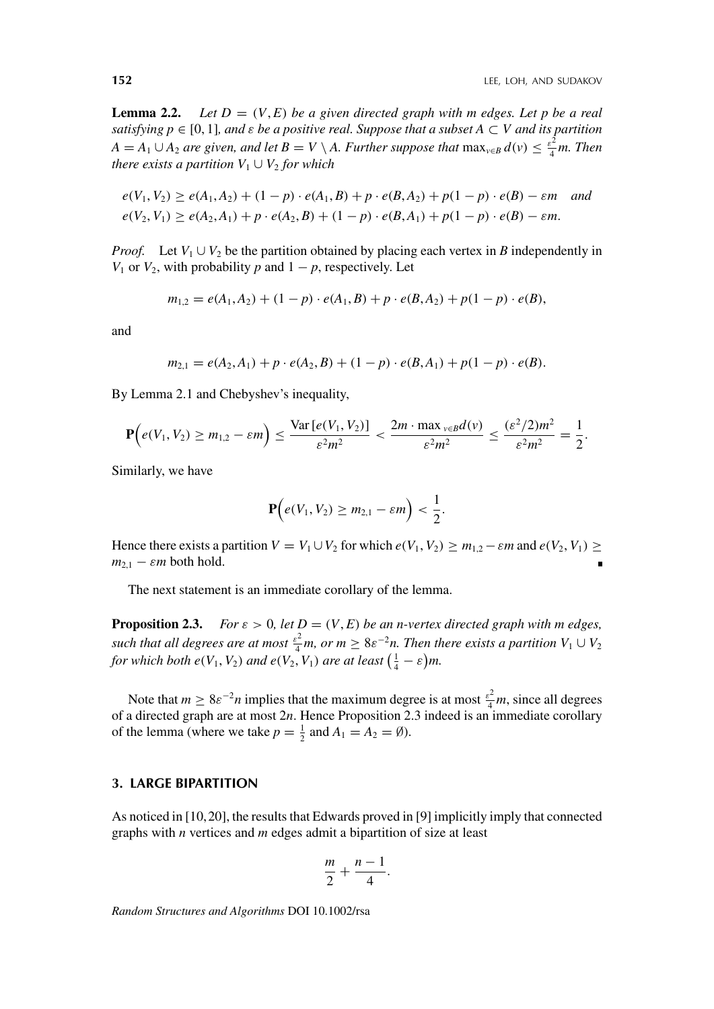**Lemma 2.2.** Let  $D = (V, E)$  be a given directed graph with m edges. Let p be a real *satisfying p* ∈ [0, 1]*, and ε be a positive real. Suppose that a subset A* ⊂ *V and its partition*  $A = A_1 \cup A_2$  *are given, and let*  $B = V \setminus A$ *. Further suppose that*  $\max_{v \in B} d(v) \leq \frac{\varepsilon^2}{4} m$ *. Then there exists a partition*  $V_1 \cup V_2$  *for which* 

$$
e(V_1, V_2) \ge e(A_1, A_2) + (1 - p) \cdot e(A_1, B) + p \cdot e(B, A_2) + p(1 - p) \cdot e(B) - \varepsilon m \quad \text{and} \quad\n e(V_2, V_1) \ge e(A_2, A_1) + p \cdot e(A_2, B) + (1 - p) \cdot e(B, A_1) + p(1 - p) \cdot e(B) - \varepsilon m.
$$

*Proof.* Let  $V_1 \cup V_2$  be the partition obtained by placing each vertex in *B* independently in *V*<sub>1</sub> or *V*<sub>2</sub>, with probability *p* and  $1 - p$ , respectively. Let

$$
m_{1,2} = e(A_1, A_2) + (1 - p) \cdot e(A_1, B) + p \cdot e(B, A_2) + p(1 - p) \cdot e(B),
$$

and

$$
m_{2,1} = e(A_2, A_1) + p \cdot e(A_2, B) + (1 - p) \cdot e(B, A_1) + p(1 - p) \cdot e(B).
$$

By Lemma 2.1 and Chebyshev's inequality,

$$
\mathbf{P}\Big(e(V_1,V_2)\geq m_{1,2}-\varepsilon m\Big)\leq \frac{\text{Var}\left[e(V_1,V_2)\right]}{\varepsilon^2m^2}<\frac{2m\cdot \max_{v\in B}d(v)}{\varepsilon^2m^2}\leq \frac{(\varepsilon^2/2)m^2}{\varepsilon^2m^2}=\frac{1}{2}.
$$

Similarly, we have

$$
\mathbf{P}\Big(e(V_1,V_2)\geq m_{2,1}-\varepsilon m\Big)<\frac{1}{2}.
$$

Hence there exists a partition  $V = V_1 \cup V_2$  for which  $e(V_1, V_2) \ge m_{1,2} - \varepsilon m$  and  $e(V_2, V_1) \ge$  $m_{2,1}$  –  $\varepsilon m$  both hold.

The next statement is an immediate corollary of the lemma.

**Proposition 2.3.** *For*  $\varepsilon > 0$ , let  $D = (V, E)$  be an n-vertex directed graph with m edges, *such that all degrees are at most*  $\frac{\varepsilon^2}{4}$ *m, or m*  $\geq 8\varepsilon^{-2}$ *n. Then there exists a partition*  $V_1 \cup V_2$ *for which both e* $(V_1, V_2)$  *and e* $(V_2, V_1)$  *are at least*  $\left(\frac{1}{4} - \varepsilon\right)m$ .

Note that  $m \ge 8\varepsilon^{-2}n$  implies that the maximum degree is at most  $\frac{\varepsilon^2}{4}m$ , since all degrees of a directed graph are at most 2*n*. Hence Proposition 2.3 indeed is an immediate corollary of the lemma (where we take  $p = \frac{1}{2}$  and  $A_1 = A_2 = \emptyset$ ).

#### **3. LARGE BIPARTITION**

As noticed in [10, 20], the results that Edwards proved in [9] implicitly imply that connected graphs with *n* vertices and *m* edges admit a bipartition of size at least

$$
\frac{m}{2} + \frac{n-1}{4}.
$$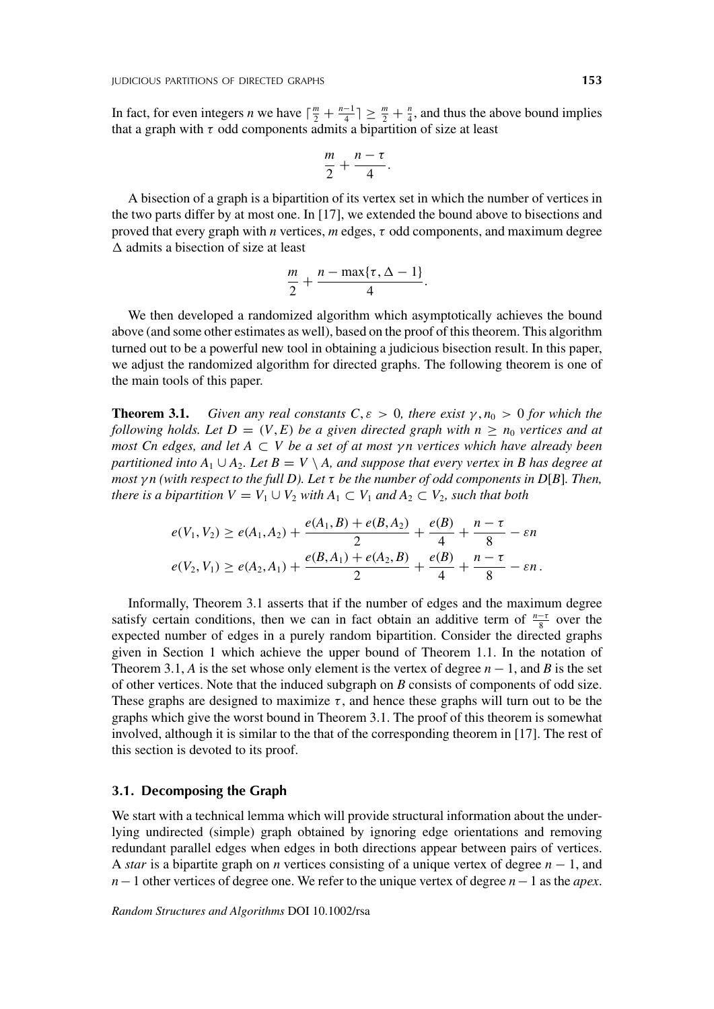In fact, for even integers *n* we have  $\lceil \frac{m}{2} + \frac{n-1}{4} \rceil \ge \frac{m}{2} + \frac{n}{4}$ , and thus the above bound implies that a graph with  $\tau$  odd components admits a bipartition of size at least

$$
\frac{m}{2}+\frac{n-\tau}{4}.
$$

A bisection of a graph is a bipartition of its vertex set in which the number of vertices in the two parts differ by at most one. In [17], we extended the bound above to bisections and proved that every graph with *n* vertices, *m* edges, *τ* odd components, and maximum degree  $\Delta$  admits a bisection of size at least

$$
\frac{m}{2}+\frac{n-\max\{\tau,\Delta-1\}}{4}.
$$

We then developed a randomized algorithm which asymptotically achieves the bound above (and some other estimates as well), based on the proof of this theorem. This algorithm turned out to be a powerful new tool in obtaining a judicious bisection result. In this paper, we adjust the randomized algorithm for directed graphs. The following theorem is one of the main tools of this paper.

**Theorem 3.1.** *Given any real constants C,*  $\varepsilon > 0$ *, there exist*  $\gamma, n_0 > 0$  *for which the following holds. Let*  $D = (V, E)$  *be a given directed graph with*  $n \ge n_0$  *vertices and at most Cn edges, and let A* ⊂ *V be a set of at most γ n vertices which have already been partitioned into*  $A_1 \cup A_2$ *. Let*  $B = V \setminus A$ *, and suppose that every vertex in* B has degree at *most γ n (with respect to the full D). Let τ be the number of odd components in D*[*B*]*. Then, there is a bipartition*  $V = V_1 \cup V_2$  *with*  $A_1 \subset V_1$  *and*  $A_2 \subset V_2$ *, such that both* 

$$
e(V_1, V_2) \ge e(A_1, A_2) + \frac{e(A_1, B) + e(B, A_2)}{2} + \frac{e(B)}{4} + \frac{n - \tau}{8} - \varepsilon n
$$
  

$$
e(V_2, V_1) \ge e(A_2, A_1) + \frac{e(B, A_1) + e(A_2, B)}{2} + \frac{e(B)}{4} + \frac{n - \tau}{8} - \varepsilon n.
$$

Informally, Theorem 3.1 asserts that if the number of edges and the maximum degree satisfy certain conditions, then we can in fact obtain an additive term of  $\frac{n-\tau}{8}$  over the expected number of edges in a purely random bipartition. Consider the directed graphs given in Section 1 which achieve the upper bound of Theorem 1.1. In the notation of Theorem 3.1, *A* is the set whose only element is the vertex of degree  $n - 1$ , and *B* is the set of other vertices. Note that the induced subgraph on *B* consists of components of odd size. These graphs are designed to maximize  $\tau$ , and hence these graphs will turn out to be the graphs which give the worst bound in Theorem 3.1. The proof of this theorem is somewhat involved, although it is similar to the that of the corresponding theorem in [17]. The rest of this section is devoted to its proof.

#### **3.1. Decomposing the Graph**

We start with a technical lemma which will provide structural information about the underlying undirected (simple) graph obtained by ignoring edge orientations and removing redundant parallel edges when edges in both directions appear between pairs of vertices. A *star* is a bipartite graph on *n* vertices consisting of a unique vertex of degree *n* − 1, and *n*−1 other vertices of degree one. We refer to the unique vertex of degree *n*−1 as the *apex*.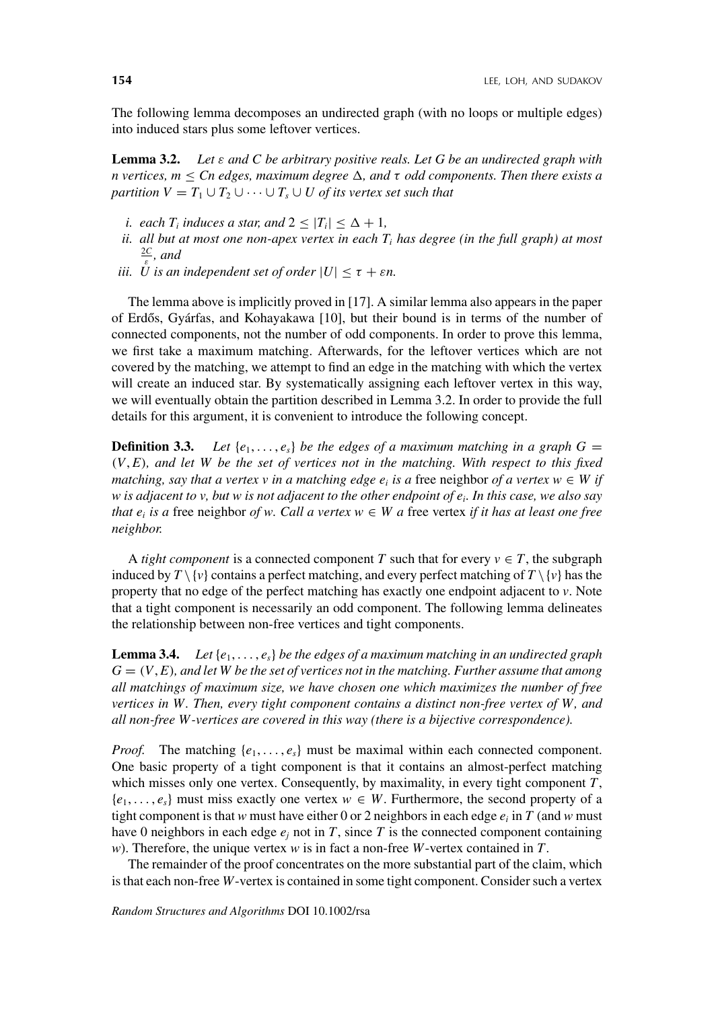The following lemma decomposes an undirected graph (with no loops or multiple edges) into induced stars plus some leftover vertices.

**Lemma 3.2.** *Let ε and C be arbitrary positive reals. Let G be an undirected graph with n* vertices,  $m \leq Cn$  edges, maximum degree  $\Delta$ , and  $\tau$  odd components. Then there exists a *partition*  $V = T_1 \cup T_2 \cup \cdots \cup T_s \cup U$  *of its vertex set such that* 

- *i.* each  $T_i$  *induces a star, and*  $2 \leq |T_i| \leq \Delta + 1$ ,
- *ii. all but at most one non-apex vertex in each Ti has degree (in the full graph) at most* 2*C <sup>ε</sup> , and*
- *iii. U* is an independent set of order  $|U| < \tau + \varepsilon n$ .

The lemma above is implicitly proved in [17]. A similar lemma also appears in the paper of Erdős, Gyárfas, and Kohayakawa  $[10]$ , but their bound is in terms of the number of connected components, not the number of odd components. In order to prove this lemma, we first take a maximum matching. Afterwards, for the leftover vertices which are not covered by the matching, we attempt to find an edge in the matching with which the vertex will create an induced star. By systematically assigning each leftover vertex in this way, we will eventually obtain the partition described in Lemma 3.2. In order to provide the full details for this argument, it is convenient to introduce the following concept.

**Definition 3.3.** Let  $\{e_1, \ldots, e_s\}$  be the edges of a maximum matching in a graph  $G =$ *(V*, *E), and let W be the set of vertices not in the matching. With respect to this fixed matching, say that a vertex v in a matching edge*  $e_i$  *is a free neighbor of a vertex w*  $\in W$  *if w is adjacent to v, but w is not adjacent to the other endpoint of ei. In this case, we also say that*  $e_i$  *is a* free neighbor *of w. Call a vertex w*  $\in$  *W a* free vertex *if it has at least one free neighbor.*

A *tight component* is a connected component *T* such that for every  $v \in T$ , the subgraph induced by  $T \setminus \{v\}$  contains a perfect matching, and every perfect matching of  $T \setminus \{v\}$  has the property that no edge of the perfect matching has exactly one endpoint adjacent to *v*. Note that a tight component is necessarily an odd component. The following lemma delineates the relationship between non-free vertices and tight components.

**Lemma 3.4.** *Let* {*e*1, *...* , *es*} *be the edges of a maximum matching in an undirected graph*  $G = (V, E)$ *, and let W be the set of vertices not in the matching. Further assume that among all matchings of maximum size, we have chosen one which maximizes the number of free vertices in W. Then, every tight component contains a distinct non-free vertex of W, and all non-free W -vertices are covered in this way (there is a bijective correspondence).*

*Proof.* The matching  $\{e_1, \ldots, e_s\}$  must be maximal within each connected component. One basic property of a tight component is that it contains an almost-perfect matching which misses only one vertex. Consequently, by maximality, in every tight component *T*,  ${e_1, \ldots, e_s}$  must miss exactly one vertex  $w \in W$ . Furthermore, the second property of a tight component is that *w* must have either 0 or 2 neighbors in each edge  $e_i$  in *T* (and *w* must have 0 neighbors in each edge  $e_j$  not in *T*, since *T* is the connected component containing *w*). Therefore, the unique vertex *w* is in fact a non-free *W*-vertex contained in *T*.

The remainder of the proof concentrates on the more substantial part of the claim, which is that each non-free *W*-vertex is contained in some tight component. Consider such a vertex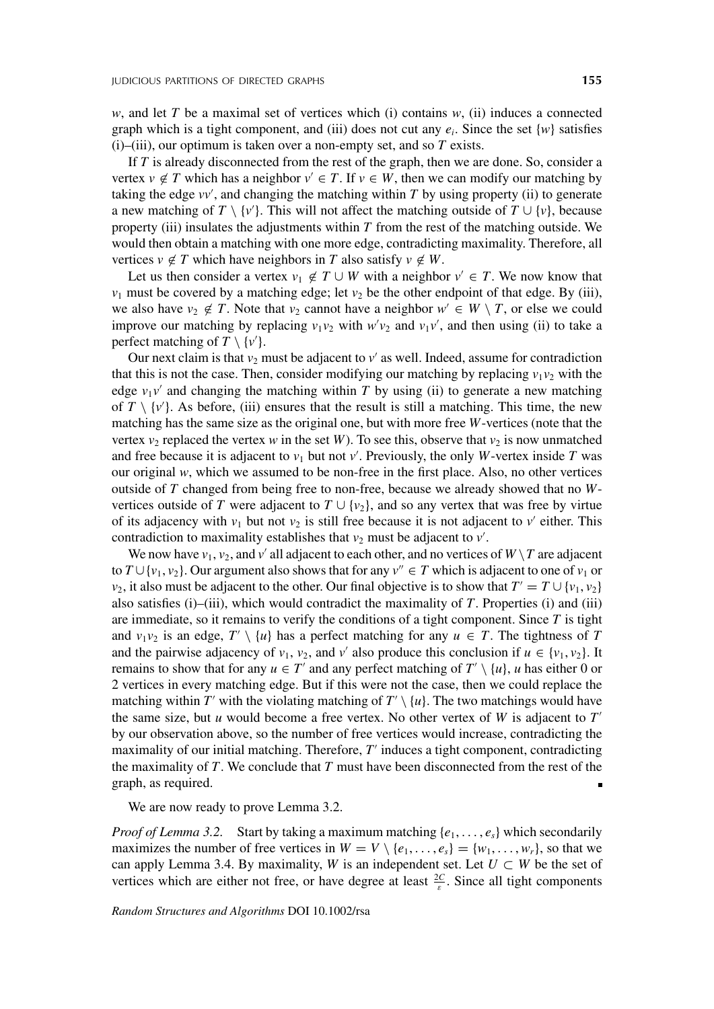*w*, and let *T* be a maximal set of vertices which (i) contains *w*, (ii) induces a connected graph which is a tight component, and (iii) does not cut any  $e_i$ . Since the set  $\{w\}$  satisfies  $(i)$ – $(iii)$ , our optimum is taken over a non-empty set, and so  $T$  exists.

If *T* is already disconnected from the rest of the graph, then we are done. So, consider a vertex  $v \notin T$  which has a neighbor  $v' \in T$ . If  $v \in W$ , then we can modify our matching by taking the edge  $vv'$ , and changing the matching within  $T$  by using property (ii) to generate a new matching of *T* \ {*v*'}. This will not affect the matching outside of *T* ∪ {*v*}, because property (iii) insulates the adjustments within *T* from the rest of the matching outside. We would then obtain a matching with one more edge, contradicting maximality. Therefore, all vertices  $v \notin T$  which have neighbors in *T* also satisfy  $v \notin W$ .

Let us then consider a vertex  $v_1 \notin T \cup W$  with a neighbor  $v' \in T$ . We now know that  $v_1$  must be covered by a matching edge; let  $v_2$  be the other endpoint of that edge. By (iii), we also have  $v_2 \notin T$ . Note that  $v_2$  cannot have a neighbor  $w' \in W \setminus T$ , or else we could improve our matching by replacing  $v_1v_2$  with  $w'v_2$  and  $v_1v'$ , and then using (ii) to take a perfect matching of  $T \setminus \{v'\}.$ 

Our next claim is that  $v_2$  must be adjacent to  $v'$  as well. Indeed, assume for contradiction that this is not the case. Then, consider modifying our matching by replacing  $v_1v_2$  with the edge  $v_1v'$  and changing the matching within *T* by using (ii) to generate a new matching of  $T \setminus \{v'\}$ . As before, (iii) ensures that the result is still a matching. This time, the new matching has the same size as the original one, but with more free *W*-vertices (note that the vertex  $v_2$  replaced the vertex *w* in the set *W*). To see this, observe that  $v_2$  is now unmatched and free because it is adjacent to  $v_1$  but not  $v'$ . Previously, the only *W*-vertex inside *T* was our original  $w$ , which we assumed to be non-free in the first place. Also, no other vertices outside of *T* changed from being free to non-free, because we already showed that no *W*vertices outside of *T* were adjacent to  $T \cup \{v_2\}$ , and so any vertex that was free by virtue of its adjacency with  $v_1$  but not  $v_2$  is still free because it is not adjacent to  $v'$  either. This contradiction to maximality establishes that  $v_2$  must be adjacent to  $v'$ .

We now have  $v_1$ ,  $v_2$ , and  $v'$  all adjacent to each other, and no vertices of  $W \setminus T$  are adjacent to  $T \cup \{v_1, v_2\}$ . Our argument also shows that for any  $v'' \in T$  which is adjacent to one of  $v_1$  or *v*<sub>2</sub>, it also must be adjacent to the other. Our final objective is to show that  $T' = T \cup \{v_1, v_2\}$ also satisfies (i)–(iii), which would contradict the maximality of *T*. Properties (i) and (iii) are immediate, so it remains to verify the conditions of a tight component. Since *T* is tight and  $v_1v_2$  is an edge,  $T' \setminus \{u\}$  has a perfect matching for any  $u \in T$ . The tightness of *T* and the pairwise adjacency of  $v_1$ ,  $v_2$ , and  $v'$  also produce this conclusion if  $u \in \{v_1, v_2\}$ . It remains to show that for any  $u \in T'$  and any perfect matching of  $T' \setminus \{u\}$ , *u* has either 0 or 2 vertices in every matching edge. But if this were not the case, then we could replace the matching within  $T'$  with the violating matching of  $T' \setminus \{u\}$ . The two matchings would have the same size, but  $u$  would become a free vertex. No other vertex of  $W$  is adjacent to  $T'$ by our observation above, so the number of free vertices would increase, contradicting the maximality of our initial matching. Therefore, *T* induces a tight component, contradicting the maximality of *T*. We conclude that *T* must have been disconnected from the rest of the graph, as required.

We are now ready to prove Lemma 3.2.

*Proof of Lemma 3.2.* Start by taking a maximum matching {*e*1, *...* , *es*} which secondarily maximizes the number of free vertices in  $W = V \setminus \{e_1, \ldots, e_s\} = \{w_1, \ldots, w_r\}$ , so that we can apply Lemma 3.4. By maximality, *W* is an independent set. Let  $U \subset W$  be the set of vertices which are either not free, or have degree at least  $\frac{2C}{\varepsilon}$ . Since all tight components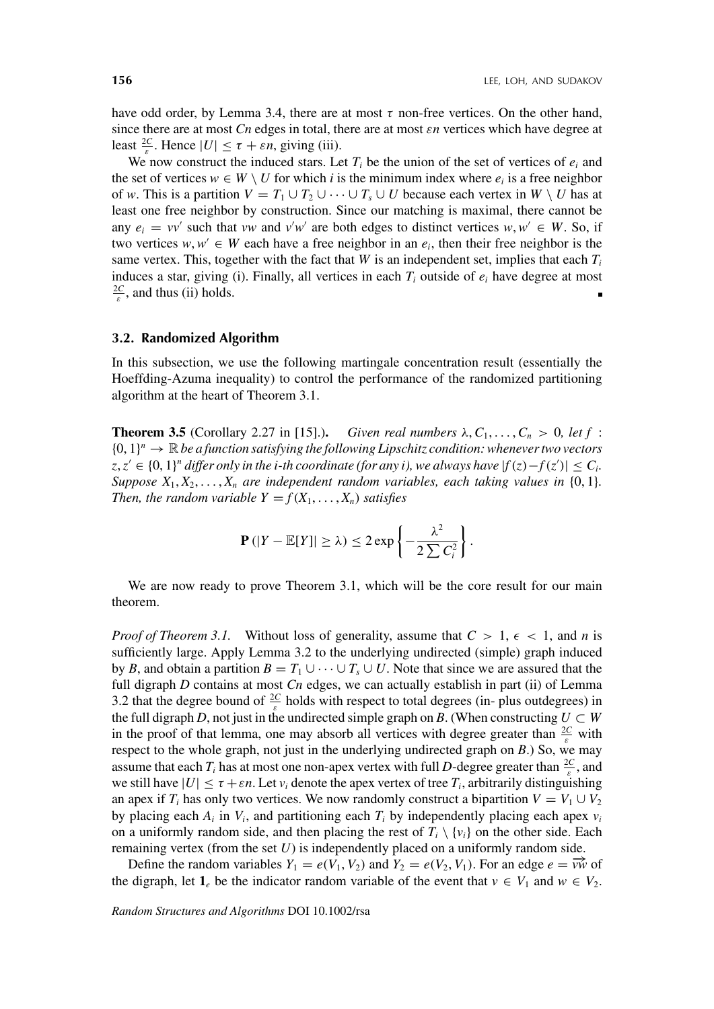have odd order, by Lemma 3.4, there are at most  $\tau$  non-free vertices. On the other hand, since there are at most *Cn* edges in total, there are at most *εn* vertices which have degree at least  $\frac{2C}{\varepsilon}$ . Hence  $|U| \le \tau + \varepsilon n$ , giving (iii).

We now construct the induced stars. Let  $T_i$  be the union of the set of vertices of  $e_i$  and the set of vertices  $w \in W \setminus U$  for which *i* is the minimum index where  $e_i$  is a free neighbor of *w*. This is a partition  $V = T_1 \cup T_2 \cup \cdots \cup T_s \cup U$  because each vertex in  $W \setminus U$  has at least one free neighbor by construction. Since our matching is maximal, there cannot be any  $e_i = vv'$  such that *vw* and  $v'w'$  are both edges to distinct vertices  $w, w' \in W$ . So, if two vertices  $w, w' \in W$  each have a free neighbor in an  $e_i$ , then their free neighbor is the same vertex. This, together with the fact that *W* is an independent set, implies that each  $T_i$ induces a star, giving (i). Finally, all vertices in each  $T_i$  outside of  $e_i$  have degree at most  $\frac{2C}{\varepsilon}$ , and thus (ii) holds.

#### **3.2. Randomized Algorithm**

In this subsection, we use the following martingale concentration result (essentially the Hoeffding-Azuma inequality) to control the performance of the randomized partitioning algorithm at the heart of Theorem 3.1.

**Theorem 3.5** (Corollary 2.27 in [15].). *Given real numbers*  $\lambda, C_1, \ldots, C_n > 0$ , let f:  ${0, 1}<sup>n</sup> \rightarrow \mathbb{R}$  *be a function satisfying the following Lipschitz condition: whenever two vectors z*,  $z'$  ∈ {0, 1}<sup>n</sup> differ only in the i-th coordinate (for any i), we always have  $|f(z) - f(z')|$  ≤  $C_i$ . *Suppose*  $X_1, X_2, \ldots, X_n$  *are independent random variables, each taking values in*  $\{0, 1\}$ *. Then, the random variable*  $Y = f(X_1, \ldots, X_n)$  *satisfies* 

$$
\mathbf{P}(|Y - \mathbb{E}[Y]| \geq \lambda) \leq 2 \exp \left\{-\frac{\lambda^2}{2 \sum C_i^2}\right\}.
$$

We are now ready to prove Theorem 3.1, which will be the core result for our main theorem.

*Proof of Theorem 3.1.* Without loss of generality, assume that  $C > 1$ ,  $\epsilon < 1$ , and *n* is sufficiently large. Apply Lemma 3.2 to the underlying undirected (simple) graph induced by *B*, and obtain a partition  $B = T_1 \cup \cdots \cup T_s \cup U$ . Note that since we are assured that the full digraph *D* contains at most *Cn* edges, we can actually establish in part (ii) of Lemma 3.2 that the degree bound of  $\frac{2C}{\varepsilon}$  holds with respect to total degrees (in- plus outdegrees) in the full digraph *D*, not just in the undirected simple graph on *B*. (When constructing  $U \subset W$ in the proof of that lemma, one may absorb all vertices with degree greater than  $\frac{2C}{\varepsilon}$  with respect to the whole graph, not just in the underlying undirected graph on *B*.) So, we may assume that each  $T_i$  has at most one non-apex vertex with full *D*-degree greater than  $\frac{2C}{\varepsilon}$ , and we still have  $|U| \leq \tau + \varepsilon n$ . Let  $v_i$  denote the apex vertex of tree  $T_i$ , arbitrarily distinguishing an apex if *T<sub>i</sub>* has only two vertices. We now randomly construct a bipartition  $V = V_1 \cup V_2$ by placing each  $A_i$  in  $V_i$ , and partitioning each  $T_i$  by independently placing each apex  $v_i$ on a uniformly random side, and then placing the rest of  $T_i \setminus \{v_i\}$  on the other side. Each remaining vertex (from the set *U*) is independently placed on a uniformly random side.

Define the random variables  $Y_1 = e(V_1, V_2)$  and  $Y_2 = e(V_2, V_1)$ . For an edge  $e = \overrightarrow{vw}$  of the digraph, let  $\mathbf{1}_e$  be the indicator random variable of the event that  $v \in V_1$  and  $w \in V_2$ .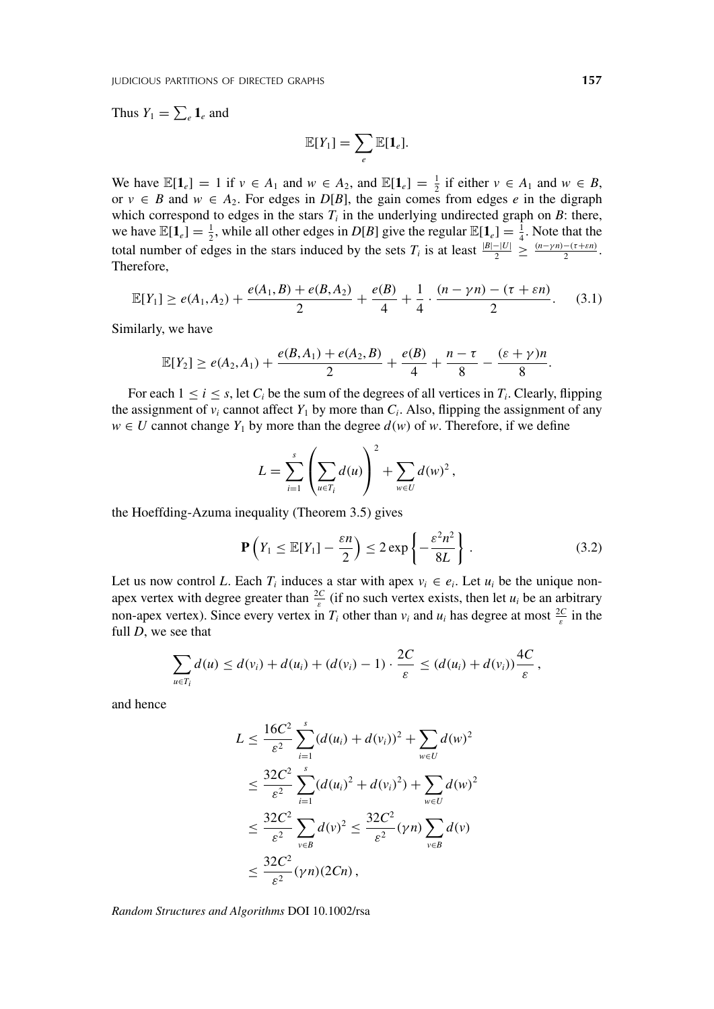Thus  $Y_1 = \sum_e \mathbf{1}_e$  and

$$
\mathbb{E}[Y_1] = \sum_e \mathbb{E}[\mathbf{1}_e].
$$

We have  $\mathbb{E}[\mathbf{1}_e] = 1$  if  $v \in A_1$  and  $w \in A_2$ , and  $\mathbb{E}[\mathbf{1}_e] = \frac{1}{2}$  if either  $v \in A_1$  and  $w \in B$ , or  $v \in B$  and  $w \in A_2$ . For edges in  $D[B]$ , the gain comes from edges *e* in the digraph which correspond to edges in the stars  $T_i$  in the underlying undirected graph on  $B$ : there, we have  $\mathbb{E}[\mathbf{1}_e] = \frac{1}{2}$ , while all other edges in *D*[*B*] give the regular  $\mathbb{E}[\mathbf{1}_e] = \frac{1}{4}$ . Note that the total number of edges in the stars induced by the sets  $T_i$  is at least  $\frac{|B| - |U|}{2} \ge \frac{(n - \gamma n) - (\tau + \varepsilon n)}{2}$ . Therefore,

$$
\mathbb{E}[Y_1] \ge e(A_1, A_2) + \frac{e(A_1, B) + e(B, A_2)}{2} + \frac{e(B)}{4} + \frac{1}{4} \cdot \frac{(n - \gamma n) - (\tau + \varepsilon n)}{2}.
$$
 (3.1)

Similarly, we have

$$
\mathbb{E}[Y_2] \ge e(A_2,A_1) + \frac{e(B,A_1) + e(A_2,B)}{2} + \frac{e(B)}{4} + \frac{n-\tau}{8} - \frac{(\varepsilon+\gamma)n}{8}.
$$

For each  $1 \le i \le s$ , let  $C_i$  be the sum of the degrees of all vertices in  $T_i$ . Clearly, flipping the assignment of  $v_i$  cannot affect  $Y_1$  by more than  $C_i$ . Also, flipping the assignment of any *w* ∈ *U* cannot change  $Y_1$  by more than the degree  $d(w)$  of *w*. Therefore, if we define

$$
L = \sum_{i=1}^s \left( \sum_{u \in T_i} d(u) \right)^2 + \sum_{w \in U} d(w)^2,
$$

the Hoeffding-Azuma inequality (Theorem 3.5) gives

$$
\mathbf{P}\left(Y_1 \le \mathbb{E}[Y_1] - \frac{\varepsilon n}{2}\right) \le 2 \exp\left\{-\frac{\varepsilon^2 n^2}{8L}\right\}.
$$
 (3.2)

Let us now control *L*. Each  $T_i$  induces a star with apex  $v_i \in e_i$ . Let  $u_i$  be the unique nonapex vertex with degree greater than  $\frac{2C}{\varepsilon}$  (if no such vertex exists, then let  $u_i$  be an arbitrary non-apex vertex). Since every vertex in  $T_i$  other than  $v_i$  and  $u_i$  has degree at most  $\frac{2C}{\varepsilon}$  in the full *D*, we see that

$$
\sum_{u\in T_i}d(u)\leq d(v_i)+d(u_i)+(d(v_i)-1)\cdot\frac{2C}{\varepsilon}\leq (d(u_i)+d(v_i))\frac{4C}{\varepsilon},
$$

and hence

$$
L \leq \frac{16C^2}{\varepsilon^2} \sum_{i=1}^s (d(u_i) + d(v_i))^2 + \sum_{w \in U} d(w)^2
$$
  

$$
\leq \frac{32C^2}{\varepsilon^2} \sum_{i=1}^s (d(u_i)^2 + d(v_i)^2) + \sum_{w \in U} d(w)^2
$$
  

$$
\leq \frac{32C^2}{\varepsilon^2} \sum_{v \in B} d(v)^2 \leq \frac{32C^2}{\varepsilon^2} (\gamma n) \sum_{v \in B} d(v)
$$
  

$$
\leq \frac{32C^2}{\varepsilon^2} (\gamma n) (2Cn),
$$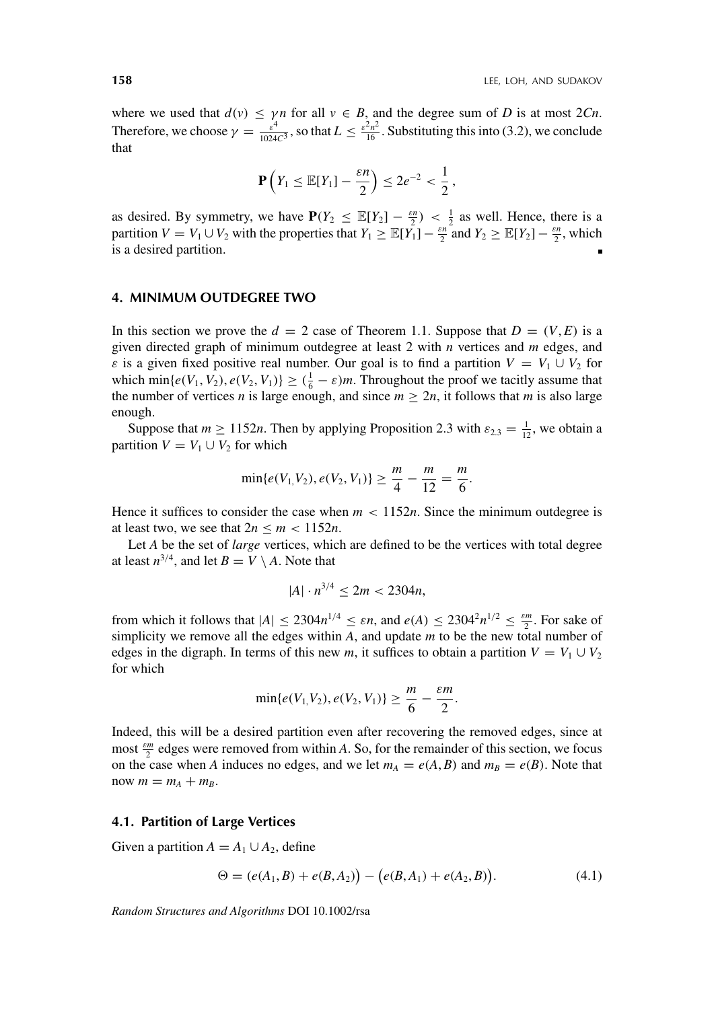where we used that  $d(v) \le \gamma n$  for all  $v \in B$ , and the degree sum of *D* is at most 2*Cn*. Therefore, we choose  $\gamma = \frac{\varepsilon^4}{1024C^3}$ , so that  $L \le \frac{\varepsilon^2 n^2}{16}$ . Substituting this into (3.2), we conclude that

$$
\mathbf{P}\left(Y_1 \leq \mathbb{E}[Y_1] - \frac{\varepsilon n}{2}\right) \leq 2e^{-2} < \frac{1}{2},
$$

as desired. By symmetry, we have  $P(Y_2 \leq \mathbb{E}[Y_2] - \frac{\varepsilon n}{2}) < \frac{1}{2}$  as well. Hence, there is a partition  $V = V_1 \cup V_2$  with the properties that  $Y_1 \ge \mathbb{E}[Y_1] - \frac{\varepsilon n}{2}$  and  $Y_2 \ge \mathbb{E}[Y_2] - \frac{\varepsilon n}{2}$ , which is a desired partition.

#### **4. MINIMUM OUTDEGREE TWO**

In this section we prove the  $d = 2$  case of Theorem 1.1. Suppose that  $D = (V, E)$  is a given directed graph of minimum outdegree at least 2 with *n* vertices and *m* edges, and *ε* is a given fixed positive real number. Our goal is to find a partition  $V = V_1 \cup V_2$  for which min{ $e(V_1, V_2)$ ,  $e(V_2, V_1)$ }  $\geq (\frac{1}{6} - \varepsilon)m$ . Throughout the proof we tacitly assume that the number of vertices *n* is large enough, and since  $m \ge 2n$ , it follows that *m* is also large enough.

Suppose that  $m \ge 1152n$ . Then by applying Proposition 2.3 with  $\varepsilon_{2,3} = \frac{1}{12}$ , we obtain a partition  $V = V_1 \cup V_2$  for which

$$
\min\{e(V_1,V_2), e(V_2,V_1)\} \ge \frac{m}{4} - \frac{m}{12} = \frac{m}{6}.
$$

Hence it suffices to consider the case when  $m < 1152n$ . Since the minimum outdegree is at least two, we see that  $2n \le m \le 1152n$ .

Let *A* be the set of *large* vertices, which are defined to be the vertices with total degree at least  $n^{3/4}$ , and let  $B = V \setminus A$ . Note that

$$
|A| \cdot n^{3/4} \le 2m < 2304n
$$

from which it follows that  $|A| \leq 2304n^{1/4} \leq \varepsilon n$ , and  $e(A) \leq 2304^2n^{1/2} \leq \frac{\varepsilon m}{2}$ . For sake of simplicity we remove all the edges within *A*, and update *m* to be the new total number of edges in the digraph. In terms of this new *m*, it suffices to obtain a partition  $V = V_1 \cup V_2$ for which

$$
\min\{e(V_1, V_2), e(V_2, V_1)\} \ge \frac{m}{6} - \frac{\varepsilon m}{2}.
$$

Indeed, this will be a desired partition even after recovering the removed edges, since at most *<sup>ε</sup><sup>m</sup>* <sup>2</sup> edges were removed from within *A*. So, for the remainder of this section, we focus on the case when *A* induces no edges, and we let  $m_A = e(A, B)$  and  $m_B = e(B)$ . Note that now  $m = m_A + m_B$ .

#### **4.1. Partition of Large Vertices**

Given a partition  $A = A_1 \cup A_2$ , define

$$
\Theta = (e(A_1, B) + e(B, A_2)) - (e(B, A_1) + e(A_2, B)). \tag{4.1}
$$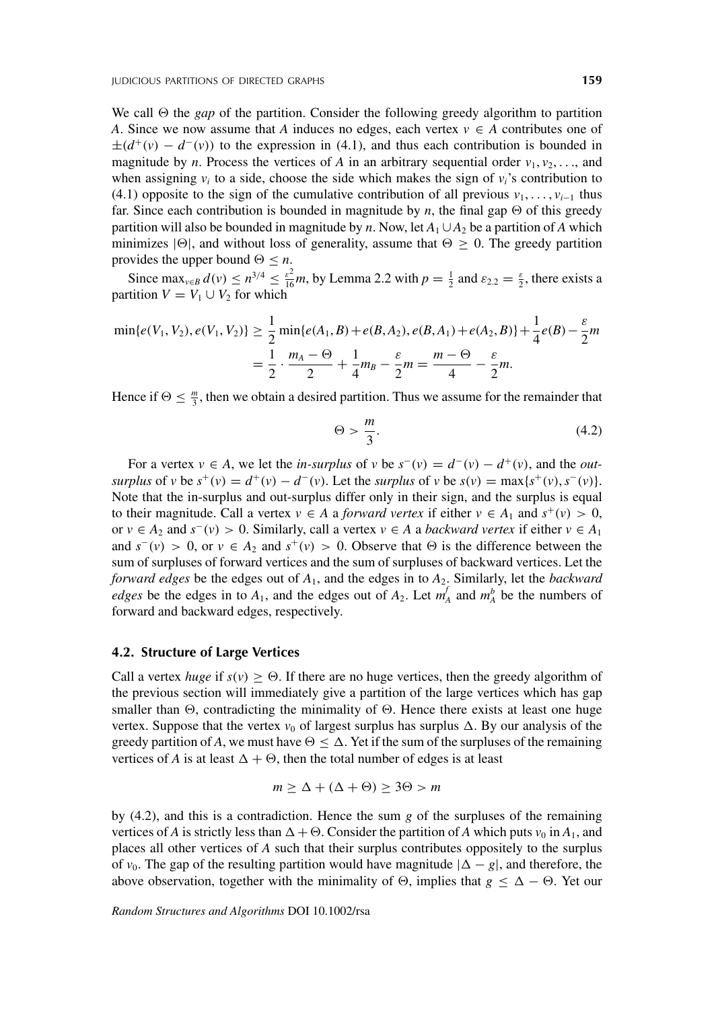We call  $\Theta$  the *gap* of the partition. Consider the following greedy algorithm to partition *A*. Since we now assume that *A* induces no edges, each vertex  $v \in A$  contributes one of  $\pm(d^+(v) - d^-(v))$  to the expression in (4.1), and thus each contribution is bounded in magnitude by *n*. Process the vertices of *A* in an arbitrary sequential order  $v_1, v_2, \ldots$ , and when assigning  $v_i$  to a side, choose the side which makes the sign of  $v_i$ 's contribution to (4.1) opposite to the sign of the cumulative contribution of all previous  $v_1, \ldots, v_{i-1}$  thus far. Since each contribution is bounded in magnitude by *n*, the final gap  $\Theta$  of this greedy partition will also be bounded in magnitude by *n*. Now, let  $A_1 \cup A_2$  be a partition of *A* which minimizes  $|\Theta|$ , and without loss of generality, assume that  $\Theta \geq 0$ . The greedy partition provides the upper bound  $\Theta \leq n$ .

Since  $\max_{v \in B} d(v) \le n^{3/4} \le \frac{\varepsilon^2}{16}m$ , by Lemma 2.2 with  $p = \frac{1}{2}$  and  $\varepsilon_{2,2} = \frac{\varepsilon}{2}$ , there exists a partition  $V = V_1 \cup V_2$  for which

$$
\min\{e(V_1, V_2), e(V_1, V_2)\} \ge \frac{1}{2} \min\{e(A_1, B) + e(B, A_2), e(B, A_1) + e(A_2, B)\} + \frac{1}{4}e(B) - \frac{\varepsilon}{2}m
$$

$$
= \frac{1}{2} \cdot \frac{m_A - \Theta}{2} + \frac{1}{4}m_B - \frac{\varepsilon}{2}m = \frac{m - \Theta}{4} - \frac{\varepsilon}{2}m.
$$

Hence if  $\Theta \leq \frac{m}{3}$ , then we obtain a desired partition. Thus we assume for the remainder that

$$
\Theta > \frac{m}{3}.\tag{4.2}
$$

For a vertex  $v \in A$ , we let the *in-surplus* of  $v$  be  $s^{-}(v) = d^{-}(v) - d^{+}(v)$ , and the *out*surplus of v be  $s^+(v) = d^+(v) - d^-(v)$ . Let the surplus of v be  $s(v) = \max\{s^+(v), s^-(v)\}$ . Note that the in-surplus and out-surplus differ only in their sign, and the surplus is equal to their magnitude. Call a vertex  $v \in A$  a *forward vertex* if either  $v \in A_1$  and  $s^+(v) > 0$ , or *v* ∈ *A*<sub>2</sub> and *s*<sup>−</sup>(*v*) > 0. Similarly, call a vertex *v* ∈ *A* a *backward vertex* if either *v* ∈ *A*<sub>1</sub> and  $s^{-}(v) > 0$ , or  $v \in A_2$  and  $s^{+}(v) > 0$ . Observe that  $\Theta$  is the difference between the sum of surpluses of forward vertices and the sum of surpluses of backward vertices. Let the *forward edges* be the edges out of *A*1, and the edges in to *A*2. Similarly, let the *backward edges* be the edges in to  $A_1$ , and the edges out of  $A_2$ . Let  $m_A^f$  and  $m_A^b$  be the numbers of forward and backward edges, respectively.

#### **4.2. Structure of Large Vertices**

Call a vertex *huge* if  $s(v) \geq \Theta$ . If there are no huge vertices, then the greedy algorithm of the previous section will immediately give a partition of the large vertices which has gap smaller than  $\Theta$ , contradicting the minimality of  $\Theta$ . Hence there exists at least one huge vertex. Suppose that the vertex  $v_0$  of largest surplus has surplus  $\Delta$ . By our analysis of the greedy partition of A, we must have  $\Theta \leq \Delta$ . Yet if the sum of the surpluses of the remaining vertices of *A* is at least  $\Delta + \Theta$ , then the total number of edges is at least

$$
m \ge \Delta + (\Delta + \Theta) \ge 3\Theta > m
$$

by (4.2), and this is a contradiction. Hence the sum *g* of the surpluses of the remaining vertices of *A* is strictly less than  $\Delta + \Theta$ . Consider the partition of *A* which puts  $v_0$  in  $A_1$ , and places all other vertices of *A* such that their surplus contributes oppositely to the surplus of *v*<sub>0</sub>. The gap of the resulting partition would have magnitude  $|\Delta - g|$ , and therefore, the above observation, together with the minimality of  $\Theta$ , implies that  $g \leq \Delta - \Theta$ . Yet our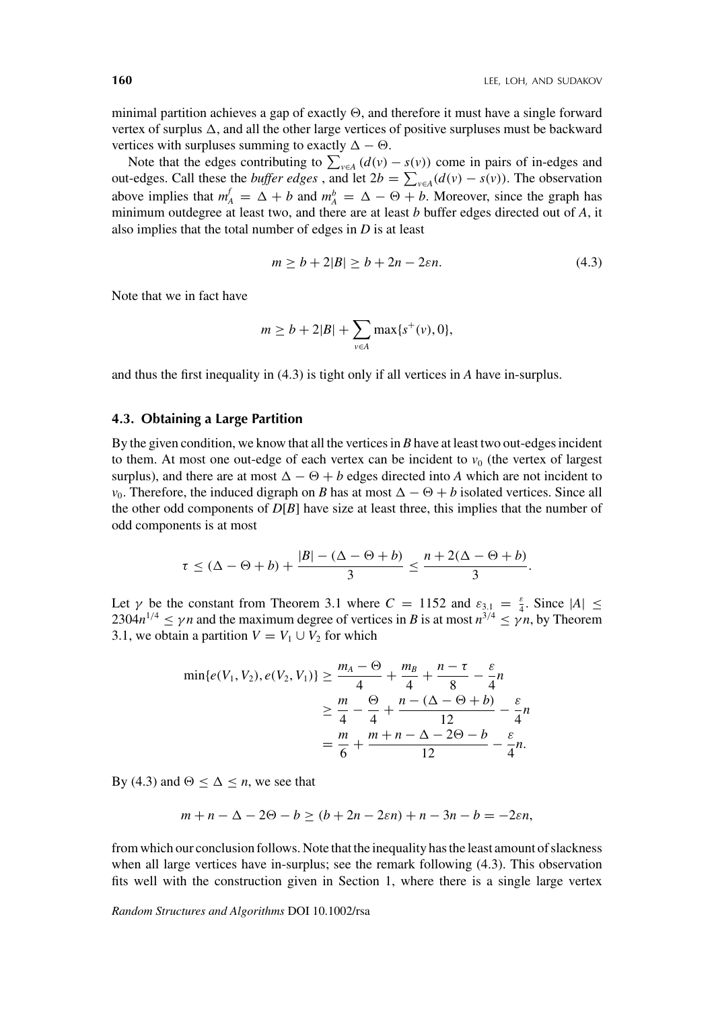minimal partition achieves a gap of exactly  $\Theta$ , and therefore it must have a single forward vertex of surplus  $\Delta$ , and all the other large vertices of positive surpluses must be backward vertices with surpluses summing to exactly  $\Delta - \Theta$ .

Note that the edges contributing to  $\sum_{v \in A} (d(v) - s(v))$  come in pairs of in-edges and out-edges. Call these the *buffer edges*, and let  $2b = \sum_{v \in A} (d(v) - s(v))$ . The observation above implies that  $m_A^f = \Delta + b$  and  $m_A^b = \Delta - \Theta + b$ . Moreover, since the graph has minimum outdegree at least two, and there are at least *b* buffer edges directed out of *A*, it also implies that the total number of edges in *D* is at least

$$
m \ge b + 2|B| \ge b + 2n - 2\varepsilon n. \tag{4.3}
$$

Note that we in fact have

$$
m \ge b + 2|B| + \sum_{v \in A} \max\{s^+(v), 0\},\
$$

and thus the first inequality in (4.3) is tight only if all vertices in *A* have in-surplus.

#### **4.3. Obtaining a Large Partition**

By the given condition, we know that all the vertices in *B* have at least two out-edges incident to them. At most one out-edge of each vertex can be incident to  $v<sub>0</sub>$  (the vertex of largest surplus), and there are at most  $\Delta - \Theta + b$  edges directed into A which are not incident to *v*<sub>0</sub>. Therefore, the induced digraph on *B* has at most  $\Delta - \Theta + b$  isolated vertices. Since all the other odd components of  $D[B]$  have size at least three, this implies that the number of odd components is at most

$$
\tau \leq (\Delta - \Theta + b) + \frac{|B| - (\Delta - \Theta + b)}{3} \leq \frac{n + 2(\Delta - \Theta + b)}{3}.
$$

Let *γ* be the constant from Theorem 3.1 where  $C = 1152$  and  $\varepsilon_{3,1} = \frac{\varepsilon}{4}$ . Since  $|A| \leq$ 2304 $n^{1/4} \le \gamma n$  and the maximum degree of vertices in *B* is at most  $n^{3/4} \le \gamma n$ , by Theorem 3.1, we obtain a partition  $V = V_1 \cup V_2$  for which

$$
\min\{e(V_1, V_2), e(V_2, V_1)\} \ge \frac{m_A - \Theta}{4} + \frac{m_B}{4} + \frac{n - \tau}{8} - \frac{\varepsilon}{4}n
$$
  
 
$$
\ge \frac{m}{4} - \frac{\Theta}{4} + \frac{n - (\Delta - \Theta + b)}{12} - \frac{\varepsilon}{4}n
$$
  
 
$$
= \frac{m}{6} + \frac{m + n - \Delta - 2\Theta - b}{12} - \frac{\varepsilon}{4}n.
$$

By (4.3) and  $\Theta \leq \Delta \leq n$ , we see that

$$
m + n - \Delta - 2\Theta - b \ge (b + 2n - 2\epsilon n) + n - 3n - b = -2\epsilon n,
$$

from which our conclusion follows. Note that the inequality has the least amount of slackness when all large vertices have in-surplus; see the remark following (4.3). This observation fits well with the construction given in Section 1, where there is a single large vertex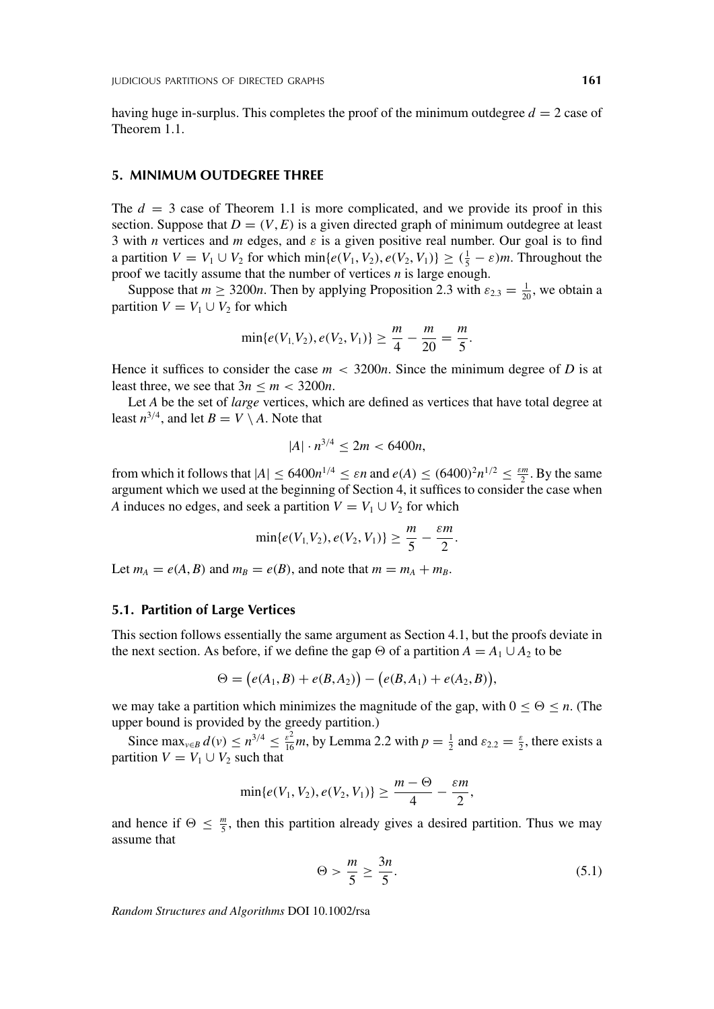having huge in-surplus. This completes the proof of the minimum outdegree *d* = 2 case of Theorem 1.1.

#### **5. MINIMUM OUTDEGREE THREE**

The  $d = 3$  case of Theorem 1.1 is more complicated, and we provide its proof in this section. Suppose that  $D = (V, E)$  is a given directed graph of minimum outdegree at least 3 with *n* vertices and *m* edges, and *ε* is a given positive real number. Our goal is to find a partition  $V = V_1 \cup V_2$  for which  $\min\{e(V_1, V_2), e(V_2, V_1)\} \geq (\frac{1}{5} - \varepsilon)m$ . Throughout the proof we tacitly assume that the number of vertices *n* is large enough.

Suppose that  $m \ge 3200n$ . Then by applying Proposition 2.3 with  $\varepsilon_{2,3} = \frac{1}{20}$ , we obtain a partition  $V = V_1 \cup V_2$  for which

$$
\min\{e(V_1,V_2), e(V_2,V_1)\} \ge \frac{m}{4} - \frac{m}{20} = \frac{m}{5}.
$$

Hence it suffices to consider the case  $m < 3200n$ . Since the minimum degree of *D* is at least three, we see that  $3n \le m < 3200n$ .

Let *A* be the set of *large* vertices, which are defined as vertices that have total degree at least  $n^{3/4}$ , and let  $B = V \setminus A$ . Note that

$$
|A| \cdot n^{3/4} \le 2m < 6400n
$$

from which it follows that  $|A| \leq 6400n^{1/4} \leq \varepsilon n$  and  $e(A) \leq (6400)^2 n^{1/2} \leq \frac{\varepsilon m}{2}$ . By the same argument which we used at the beginning of Section 4, it suffices to consider the case when *A* induces no edges, and seek a partition  $V = V_1 \cup V_2$  for which

$$
\min\{e(V_1,V_2), e(V_2,V_1)\} \ge \frac{m}{5} - \frac{\varepsilon m}{2}.
$$

Let  $m_A = e(A, B)$  and  $m_B = e(B)$ , and note that  $m = m_A + m_B$ .

#### **5.1. Partition of Large Vertices**

This section follows essentially the same argument as Section 4.1, but the proofs deviate in the next section. As before, if we define the gap  $\Theta$  of a partition  $A = A_1 \cup A_2$  to be

$$
\Theta = (e(A_1, B) + e(B, A_2)) - (e(B, A_1) + e(A_2, B)),
$$

we may take a partition which minimizes the magnitude of the gap, with  $0 \le \Theta \le n$ . (The upper bound is provided by the greedy partition.)

Since  $\max_{v \in B} d(v) \le n^{3/4} \le \frac{\varepsilon^2}{16}m$ , by Lemma 2.2 with  $p = \frac{1}{2}$  and  $\varepsilon_{2,2} = \frac{\varepsilon}{2}$ , there exists a partition  $V = V_1 \cup V_2$  such that

$$
\min\{e(V_1, V_2), e(V_2, V_1)\} \ge \frac{m - \Theta}{4} - \frac{\varepsilon m}{2},
$$

and hence if  $\Theta \leq \frac{m}{5}$ , then this partition already gives a desired partition. Thus we may assume that

$$
\Theta > \frac{m}{5} \ge \frac{3n}{5}.\tag{5.1}
$$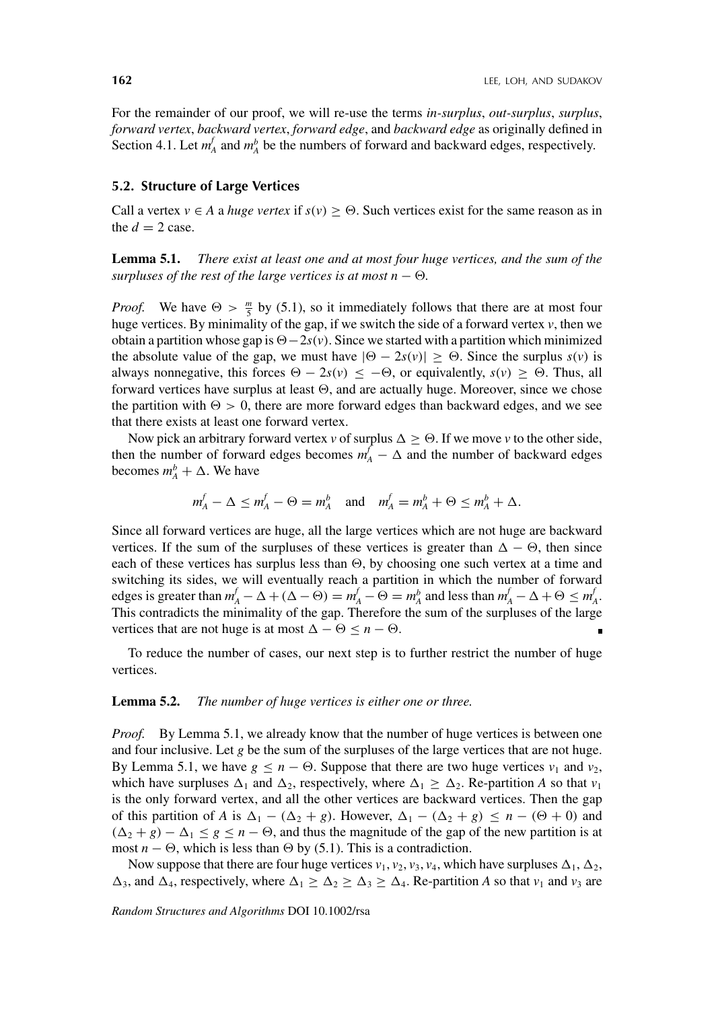For the remainder of our proof, we will re-use the terms *in-surplus*, *out-surplus*, *surplus*, *forward vertex*, *backward vertex*, *forward edge*, and *backward edge* as originally defined in Section 4.1. Let  $m_A^f$  and  $m_A^b$  be the numbers of forward and backward edges, respectively.

#### **5.2. Structure of Large Vertices**

Call a vertex  $v \in A$  a *huge vertex* if  $s(v) \ge \Theta$ . Such vertices exist for the same reason as in the  $d = 2$  case.

**Lemma 5.1.** *There exist at least one and at most four huge vertices, and the sum of the surpluses of the rest of the large vertices is at most n*  $\Theta$ .

*Proof.* We have  $\Theta > \frac{m}{5}$  by (5.1), so it immediately follows that there are at most four huge vertices. By minimality of the gap, if we switch the side of a forward vertex *v*, then we obtain a partition whose gap is  $\Theta - 2s(v)$ . Since we started with a partition which minimized the absolute value of the gap, we must have  $|\Theta - 2s(v)| \ge \Theta$ . Since the surplus  $s(v)$  is always nonnegative, this forces  $\Theta - 2s(v) \leq -\Theta$ , or equivalently,  $s(v) \geq \Theta$ . Thus, all forward vertices have surplus at least  $\Theta$ , and are actually huge. Moreover, since we chose the partition with  $\Theta > 0$ , there are more forward edges than backward edges, and we see that there exists at least one forward vertex.

Now pick an arbitrary forward vertex *v* of surplus  $\Delta \geq \Theta$ . If we move *v* to the other side, then the number of forward edges becomes  $m_A^f - \Delta$  and the number of backward edges becomes  $m_A^b + \Delta$ . We have

$$
m_A^f - \Delta \le m_A^f - \Theta = m_A^b
$$
 and  $m_A^f = m_A^b + \Theta \le m_A^b + \Delta$ .

Since all forward vertices are huge, all the large vertices which are not huge are backward vertices. If the sum of the surpluses of these vertices is greater than  $\Delta - \Theta$ , then since each of these vertices has surplus less than  $\Theta$ , by choosing one such vertex at a time and switching its sides, we will eventually reach a partition in which the number of forward edges is greater than  $m_A^f - \Delta + (\Delta - \Theta) = m_A^f - \Theta = m_A^b$  and less than  $m_A^f - \Delta + \Theta \le m_A^f$ . This contradicts the minimality of the gap. Therefore the sum of the surpluses of the large vertices that are not huge is at most  $\Delta - \Theta \le n - \Theta$ .

To reduce the number of cases, our next step is to further restrict the number of huge vertices.

#### **Lemma 5.2.** *The number of huge vertices is either one or three.*

*Proof.* By Lemma 5.1, we already know that the number of huge vertices is between one and four inclusive. Let *g* be the sum of the surpluses of the large vertices that are not huge. By Lemma 5.1, we have  $g \le n - \Theta$ . Suppose that there are two huge vertices  $v_1$  and  $v_2$ , which have surpluses  $\Delta_1$  and  $\Delta_2$ , respectively, where  $\Delta_1 \geq \Delta_2$ . Re-partition A so that  $v_1$ is the only forward vertex, and all the other vertices are backward vertices. Then the gap of this partition of *A* is  $\Delta_1 - (\Delta_2 + g)$ . However,  $\Delta_1 - (\Delta_2 + g) \le n - (\Theta + 0)$  and  $(\Delta_2 + g) - \Delta_1 \le g \le n - \Theta$ , and thus the magnitude of the gap of the new partition is at most *n* −  $\Theta$ , which is less than  $\Theta$  by (5.1). This is a contradiction.

Now suppose that there are four huge vertices  $v_1$ ,  $v_2$ ,  $v_3$ ,  $v_4$ , which have surpluses  $\Delta_1$ ,  $\Delta_2$ ,  $\Delta_3$ , and  $\Delta_4$ , respectively, where  $\Delta_1 \geq \Delta_2 \geq \Delta_3 \geq \Delta_4$ . Re-partition *A* so that  $v_1$  and  $v_3$  are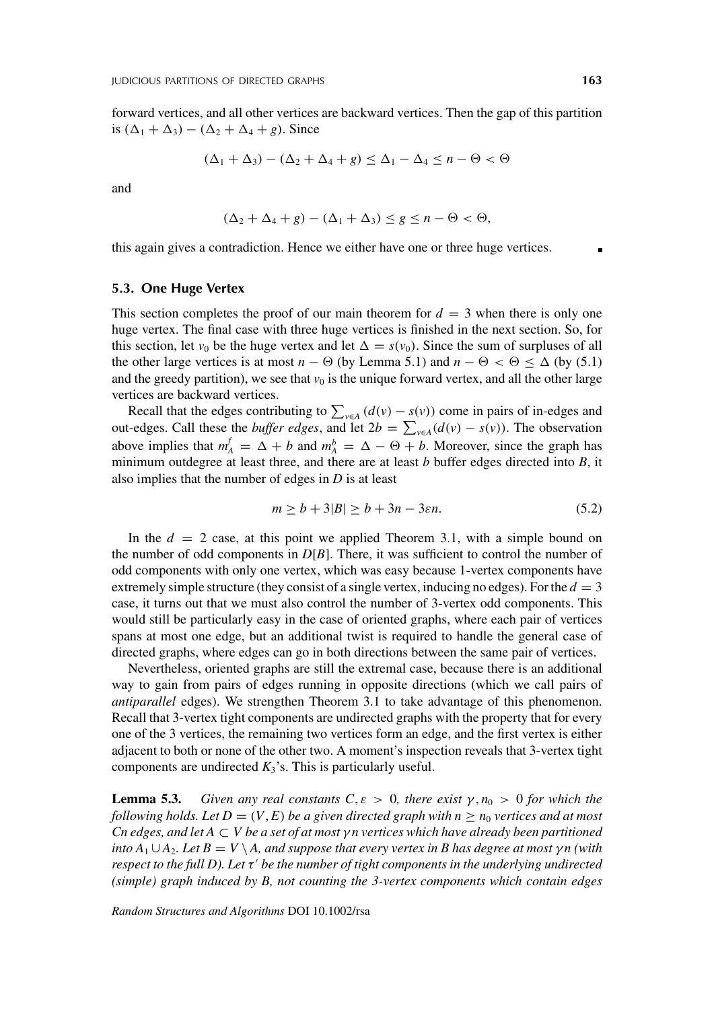forward vertices, and all other vertices are backward vertices. Then the gap of this partition is  $(Δ<sub>1</sub> + Δ<sub>3</sub>) – (Δ<sub>2</sub> + Δ<sub>4</sub> + g)$ . Since

$$
(\Delta_1 + \Delta_3) - (\Delta_2 + \Delta_4 + g) \le \Delta_1 - \Delta_4 \le n - \Theta < \Theta
$$

and

$$
(\Delta_2 + \Delta_4 + g) - (\Delta_1 + \Delta_3) \le g \le n - \Theta < \Theta,
$$

this again gives a contradiction. Hence we either have one or three huge vertices.

#### **5.3. One Huge Vertex**

This section completes the proof of our main theorem for  $d = 3$  when there is only one huge vertex. The final case with three huge vertices is finished in the next section. So, for this section, let  $v_0$  be the huge vertex and let  $\Delta = s(v_0)$ . Since the sum of surpluses of all the other large vertices is at most *n* −  $\Theta$  (by Lemma 5.1) and *n* −  $\Theta$  <  $\Theta \leq \Delta$  (by (5.1) and the greedy partition), we see that  $v_0$  is the unique forward vertex, and all the other large vertices are backward vertices.

Recall that the edges contributing to  $\sum_{v \in A} (d(v) - s(v))$  come in pairs of in-edges and out-edges. Call these the *buffer edges*, and let  $2b = \sum_{v \in A} (d(v) - s(v))$ . The observation above implies that  $m_A^f = \Delta + b$  and  $m_A^b = \Delta - \Theta + b$ . Moreover, since the graph has minimum outdegree at least three, and there are at least *b* buffer edges directed into *B*, it also implies that the number of edges in *D* is at least

$$
m \ge b + 3|B| \ge b + 3n - 3\varepsilon n. \tag{5.2}
$$

In the  $d = 2$  case, at this point we applied Theorem 3.1, with a simple bound on the number of odd components in *D*[*B*]. There, it was sufficient to control the number of odd components with only one vertex, which was easy because 1-vertex components have extremely simple structure (they consist of a single vertex, inducing no edges). For the  $d = 3$ case, it turns out that we must also control the number of 3-vertex odd components. This would still be particularly easy in the case of oriented graphs, where each pair of vertices spans at most one edge, but an additional twist is required to handle the general case of directed graphs, where edges can go in both directions between the same pair of vertices.

Nevertheless, oriented graphs are still the extremal case, because there is an additional way to gain from pairs of edges running in opposite directions (which we call pairs of *antiparallel* edges). We strengthen Theorem 3.1 to take advantage of this phenomenon. Recall that 3-vertex tight components are undirected graphs with the property that for every one of the 3 vertices, the remaining two vertices form an edge, and the first vertex is either adjacent to both or none of the other two. A moment's inspection reveals that 3-vertex tight components are undirected  $K_3$ 's. This is particularly useful.

**Lemma 5.3.** *Given any real constants*  $C, \varepsilon > 0$ *, there exist*  $\gamma, n_0 > 0$  *for which the following holds. Let*  $D = (V, E)$  *be a given directed graph with n*  $\ge n_0$  *vertices and at most Cn edges, and let A* ⊂ *V be a set of at most γ n vertices which have already been partitioned into*  $A_1 \cup A_2$ *. Let*  $B = V \setminus A$ *, and suppose that every vertex in* B has degree at most  $\gamma n$  (with respect to the full D). Let τ' be the number of tight components in the underlying undirected *(simple) graph induced by B, not counting the 3-vertex components which contain edges*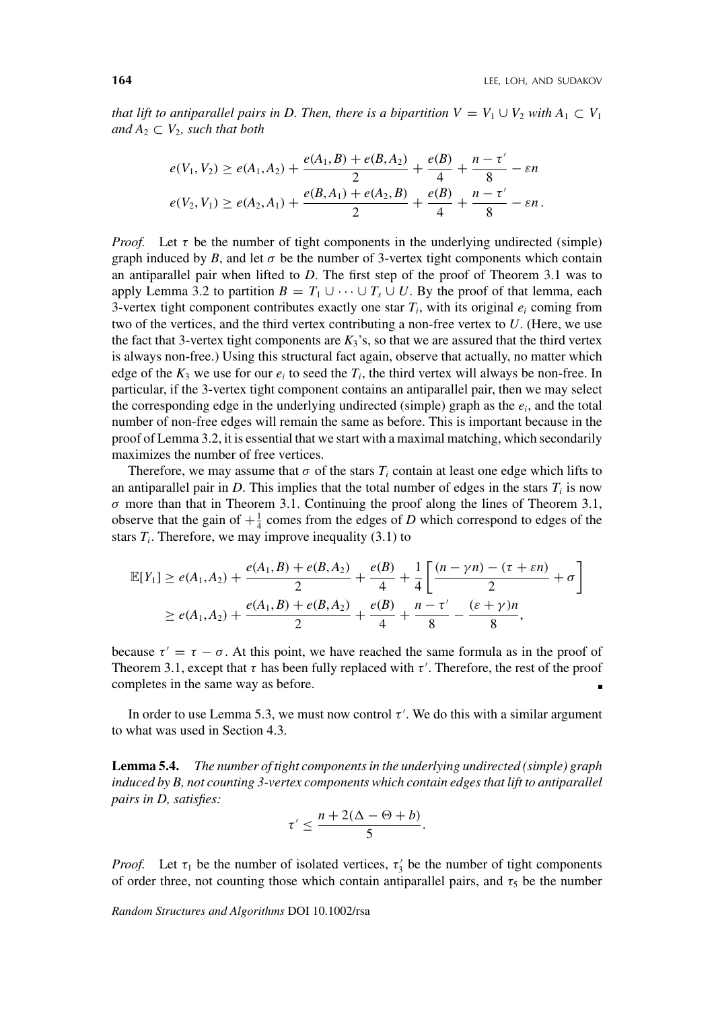*that lift to antiparallel pairs in D. Then, there is a bipartition*  $V = V_1 \cup V_2$  *with*  $A_1 \subset V_1$ *and*  $A_2 \subset V_2$ *, such that both* 

$$
e(V_1, V_2) \ge e(A_1, A_2) + \frac{e(A_1, B) + e(B, A_2)}{2} + \frac{e(B)}{4} + \frac{n - \tau'}{8} - \varepsilon n
$$
  

$$
e(V_2, V_1) \ge e(A_2, A_1) + \frac{e(B, A_1) + e(A_2, B)}{2} + \frac{e(B)}{4} + \frac{n - \tau'}{8} - \varepsilon n.
$$

*Proof.* Let  $\tau$  be the number of tight components in the underlying undirected (simple) graph induced by *B*, and let  $\sigma$  be the number of 3-vertex tight components which contain an antiparallel pair when lifted to *D*. The first step of the proof of Theorem 3.1 was to apply Lemma 3.2 to partition  $B = T_1 \cup \cdots \cup T_s \cup U$ . By the proof of that lemma, each 3-vertex tight component contributes exactly one star  $T_i$ , with its original  $e_i$  coming from two of the vertices, and the third vertex contributing a non-free vertex to *U*. (Here, we use the fact that 3-vertex tight components are  $K_3$ 's, so that we are assured that the third vertex is always non-free.) Using this structural fact again, observe that actually, no matter which edge of the  $K_3$  we use for our  $e_i$  to seed the  $T_i$ , the third vertex will always be non-free. In particular, if the 3-vertex tight component contains an antiparallel pair, then we may select the corresponding edge in the underlying undirected (simple) graph as the *ei*, and the total number of non-free edges will remain the same as before. This is important because in the proof of Lemma 3.2, it is essential that we start with a maximal matching, which secondarily maximizes the number of free vertices.

Therefore, we may assume that  $\sigma$  of the stars  $T_i$  contain at least one edge which lifts to an antiparallel pair in *D*. This implies that the total number of edges in the stars  $T_i$  is now *σ* more than that in Theorem 3.1. Continuing the proof along the lines of Theorem 3.1, observe that the gain of  $+\frac{1}{4}$  comes from the edges of *D* which correspond to edges of the stars  $T_i$ . Therefore, we may improve inequality (3.1) to

$$
\mathbb{E}[Y_1] \ge e(A_1, A_2) + \frac{e(A_1, B) + e(B, A_2)}{2} + \frac{e(B)}{4} + \frac{1}{4} \left[ \frac{(n - \gamma n) - (\tau + \varepsilon n)}{2} + \sigma \right]
$$
  
 
$$
\ge e(A_1, A_2) + \frac{e(A_1, B) + e(B, A_2)}{2} + \frac{e(B)}{4} + \frac{n - \tau'}{8} - \frac{(\varepsilon + \gamma)n}{8},
$$

because  $\tau' = \tau - \sigma$ . At this point, we have reached the same formula as in the proof of Theorem 3.1, except that  $\tau$  has been fully replaced with  $\tau'$ . Therefore, the rest of the proof completes in the same way as before.

In order to use Lemma 5.3, we must now control  $\tau'$ . We do this with a similar argument to what was used in Section 4.3.

**Lemma 5.4.** *The number of tight components in the underlying undirected (simple) graph induced by B, not counting 3-vertex components which contain edges that lift to antiparallel pairs in D, satisfies:*

$$
\tau' \leq \frac{n + 2(\Delta - \Theta + b)}{5}.
$$

*Proof.* Let  $\tau_1$  be the number of isolated vertices,  $\tau_3$  be the number of tight components of order three, not counting those which contain antiparallel pairs, and  $\tau_5$  be the number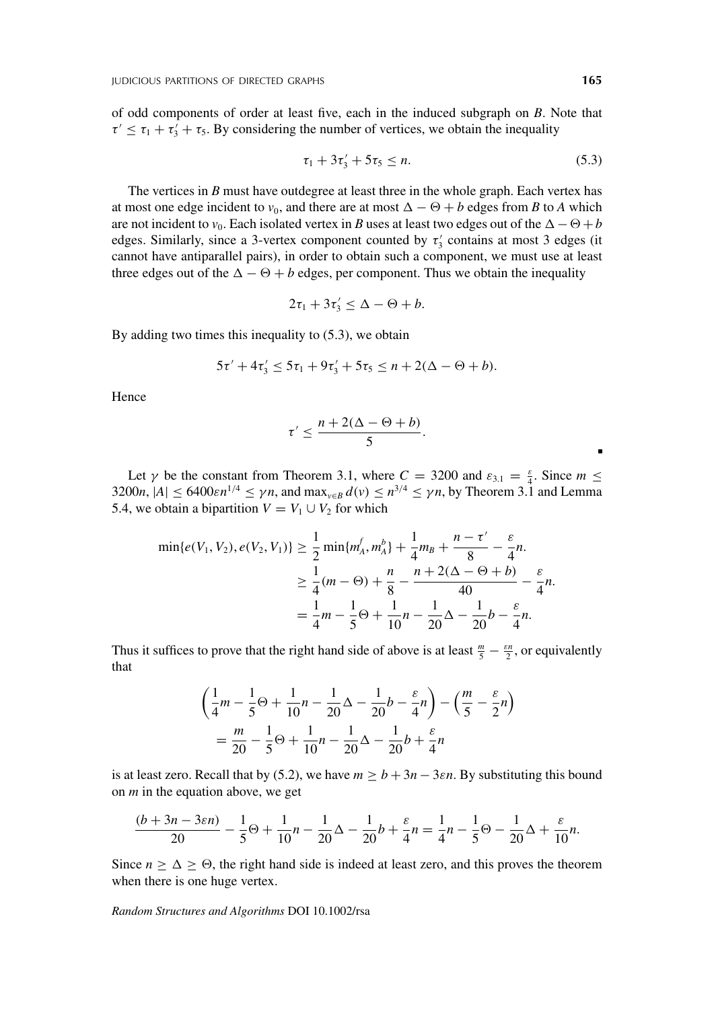of odd components of order at least five, each in the induced subgraph on *B*. Note that  $\tau' \leq \tau_1 + \tau_3' + \tau_5$ . By considering the number of vertices, we obtain the inequality

$$
\tau_1 + 3\tau_3' + 5\tau_5 \le n. \tag{5.3}
$$

The vertices in *B* must have outdegree at least three in the whole graph. Each vertex has at most one edge incident to  $v_0$ , and there are at most  $\Delta - \Theta + b$  edges from *B* to *A* which are not incident to  $v_0$ . Each isolated vertex in *B* uses at least two edges out of the  $\Delta - \Theta + b$ edges. Similarly, since a 3-vertex component counted by  $\tau'_{3}$  contains at most 3 edges (it cannot have antiparallel pairs), in order to obtain such a component, we must use at least three edges out of the  $\Delta - \Theta + b$  edges, per component. Thus we obtain the inequality

$$
2\tau_1+3\tau_3' \leq \Delta - \Theta + b.
$$

By adding two times this inequality to (5.3), we obtain

$$
5\tau' + 4\tau_3' \le 5\tau_1 + 9\tau_3' + 5\tau_5 \le n + 2(\Delta - \Theta + b).
$$

Hence

$$
\tau' \leq \frac{n+2(\Delta-\Theta+b)}{5}.
$$

Let  $\gamma$  be the constant from Theorem 3.1, where  $C = 3200$  and  $\varepsilon_{3,1} = \frac{\varepsilon}{4}$ . Since  $m \leq$ 3200*n*,  $|A| \leq 6400 \varepsilon n^{1/4} \leq \gamma n$ , and  $\max_{v \in B} d(v) \leq n^{3/4} \leq \gamma n$ , by Theorem 3.1 and Lemma 5.4, we obtain a bipartition  $V = V_1 \cup V_2$  for which

$$
\min\{e(V_1, V_2), e(V_2, V_1)\} \ge \frac{1}{2} \min\{m_A^f, m_A^b\} + \frac{1}{4} m_B + \frac{n - \tau'}{8} - \frac{\varepsilon}{4} n.
$$
  

$$
\ge \frac{1}{4} (m - \Theta) + \frac{n}{8} - \frac{n + 2(\Delta - \Theta + b)}{40} - \frac{\varepsilon}{4} n.
$$
  

$$
= \frac{1}{4} m - \frac{1}{5} \Theta + \frac{1}{10} n - \frac{1}{20} \Delta - \frac{1}{20} b - \frac{\varepsilon}{4} n.
$$

Thus it suffices to prove that the right hand side of above is at least  $\frac{m}{5} - \frac{\varepsilon n}{2}$ , or equivalently that

$$
\left(\frac{1}{4}m - \frac{1}{5}\Theta + \frac{1}{10}n - \frac{1}{20}\Delta - \frac{1}{20}b - \frac{\varepsilon}{4}n\right) - \left(\frac{m}{5} - \frac{\varepsilon}{2}n\right)
$$

$$
= \frac{m}{20} - \frac{1}{5}\Theta + \frac{1}{10}n - \frac{1}{20}\Delta - \frac{1}{20}b + \frac{\varepsilon}{4}n
$$

is at least zero. Recall that by (5.2), we have  $m \ge b + 3n - 3\varepsilon n$ . By substituting this bound on *m* in the equation above, we get

$$
\frac{(b+3n-3\varepsilon n)}{20} - \frac{1}{5}\Theta + \frac{1}{10}n - \frac{1}{20}\Delta - \frac{1}{20}b + \frac{\varepsilon}{4}n = \frac{1}{4}n - \frac{1}{5}\Theta - \frac{1}{20}\Delta + \frac{\varepsilon}{10}n.
$$

Since  $n \geq \Delta \geq \Theta$ , the right hand side is indeed at least zero, and this proves the theorem when there is one huge vertex.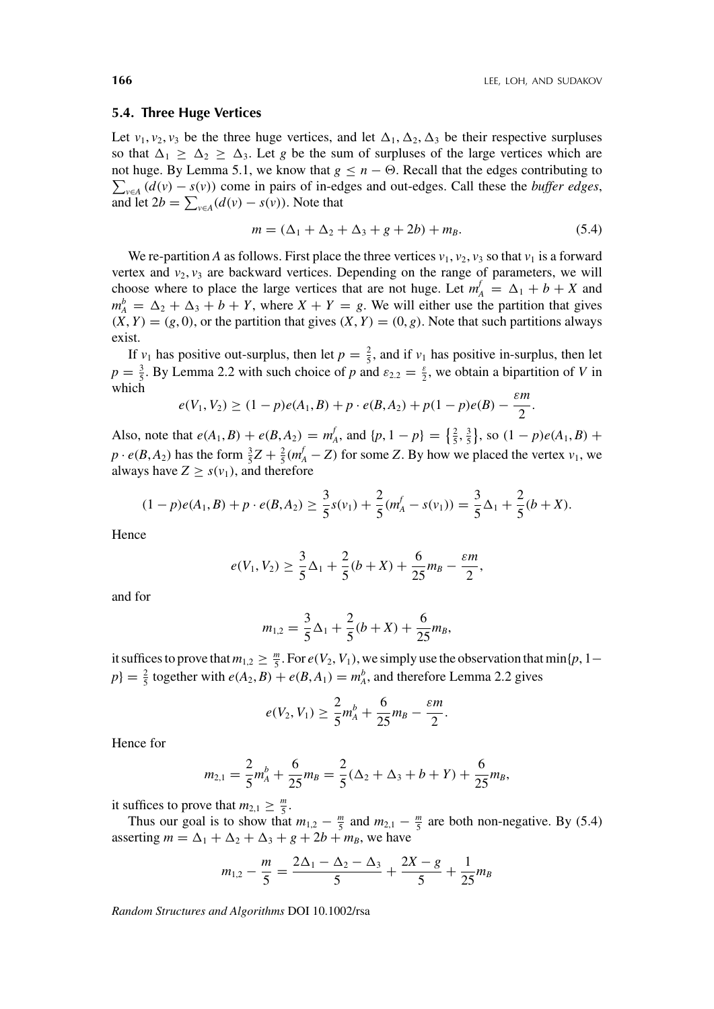#### **5.4. Three Huge Vertices**

Let  $v_1, v_2, v_3$  be the three huge vertices, and let  $\Delta_1, \Delta_2, \Delta_3$  be their respective surpluses so that  $\Delta_1 \geq \Delta_2 \geq \Delta_3$ . Let *g* be the sum of surpluses of the large vertices which are  $\sum_{v \in A} (d(v) - s(v))$  come in pairs of in-edges and out-edges. Call these the *buffer edges*, not huge. By Lemma 5.1, we know that  $g \leq n - \Theta$ . Recall that the edges contributing to and let  $2b = \sum_{v \in A} (d(v) - s(v))$ . Note that

$$
m = (\Delta_1 + \Delta_2 + \Delta_3 + g + 2b) + m_B. \tag{5.4}
$$

We re-partition *A* as follows. First place the three vertices  $v_1$ ,  $v_2$ ,  $v_3$  so that  $v_1$  is a forward vertex and  $v_2$ ,  $v_3$  are backward vertices. Depending on the range of parameters, we will choose where to place the large vertices that are not huge. Let  $m_A^f = \Delta_1 + b + X$  and  $m_A^b = \Delta_2 + \Delta_3 + b + Y$ , where  $X + Y = g$ . We will either use the partition that gives  $(X, Y) = (g, 0)$ , or the partition that gives  $(X, Y) = (0, g)$ . Note that such partitions always exist.

If  $v_1$  has positive out-surplus, then let  $p = \frac{2}{5}$ , and if  $v_1$  has positive in-surplus, then let  $p = \frac{3}{5}$ . By Lemma 2.2 with such choice of *p* and  $\varepsilon_{2,2} = \frac{\varepsilon}{2}$ , we obtain a bipartition of *V* in which

$$
e(V_1, V_2) \ge (1-p)e(A_1, B) + p \cdot e(B, A_2) + p(1-p)e(B) - \frac{\varepsilon m}{2}.
$$

Also, note that  $e(A_1, B) + e(B, A_2) = m_A^f$ , and  $\{p, 1 - p\} = \{\frac{2}{5}, \frac{3}{5}\}\$ , so  $(1 - p)e(A_1, B) + p(A_2, B_1)$  $p \cdot e(B, A_2)$  has the form  $\frac{3}{5}Z + \frac{2}{5}(m_A^f - Z)$  for some *Z*. By how we placed the vertex *v*<sub>1</sub>, we always have  $Z \geq s(v_1)$ , and therefore

$$
(1-p)e(A_1, B) + p \cdot e(B, A_2) \ge \frac{3}{5}s(v_1) + \frac{2}{5}(m_A^f - s(v_1)) = \frac{3}{5}\Delta_1 + \frac{2}{5}(b+X).
$$

Hence

$$
e(V_1, V_2) \ge \frac{3}{5}\Delta_1 + \frac{2}{5}(b+X) + \frac{6}{25}m_B - \frac{\varepsilon m}{2},
$$

and for

$$
m_{1,2} = \frac{3}{5}\Delta_1 + \frac{2}{5}(b+X) + \frac{6}{25}m_B,
$$

it suffices to prove that  $m_{1,2} \ge \frac{m}{5}$ . For  $e(V_2, V_1)$ , we simply use the observation that min{*p*, 1–  $p$ } =  $\frac{2}{5}$  together with  $e(A_2, B) + e(B, A_1) = m_A^b$ , and therefore Lemma 2.2 gives

$$
e(V_2, V_1) \ge \frac{2}{5}m_A^b + \frac{6}{25}m_B - \frac{\varepsilon m}{2}.
$$

Hence for

$$
m_{2,1} = \frac{2}{5}m_A^b + \frac{6}{25}m_B = \frac{2}{5}(\Delta_2 + \Delta_3 + b + Y) + \frac{6}{25}m_B,
$$

it suffices to prove that  $m_{2,1} \geq \frac{m}{5}$ .

Thus our goal is to show that  $m_{1,2} - \frac{m}{5}$  and  $m_{2,1} - \frac{m}{5}$  are both non-negative. By (5.4) asserting  $m = \Delta_1 + \Delta_2 + \Delta_3 + g + 2b + m_B$ , we have

$$
m_{1,2} - \frac{m}{5} = \frac{2\Delta_1 - \Delta_2 - \Delta_3}{5} + \frac{2X - g}{5} + \frac{1}{25}m_B
$$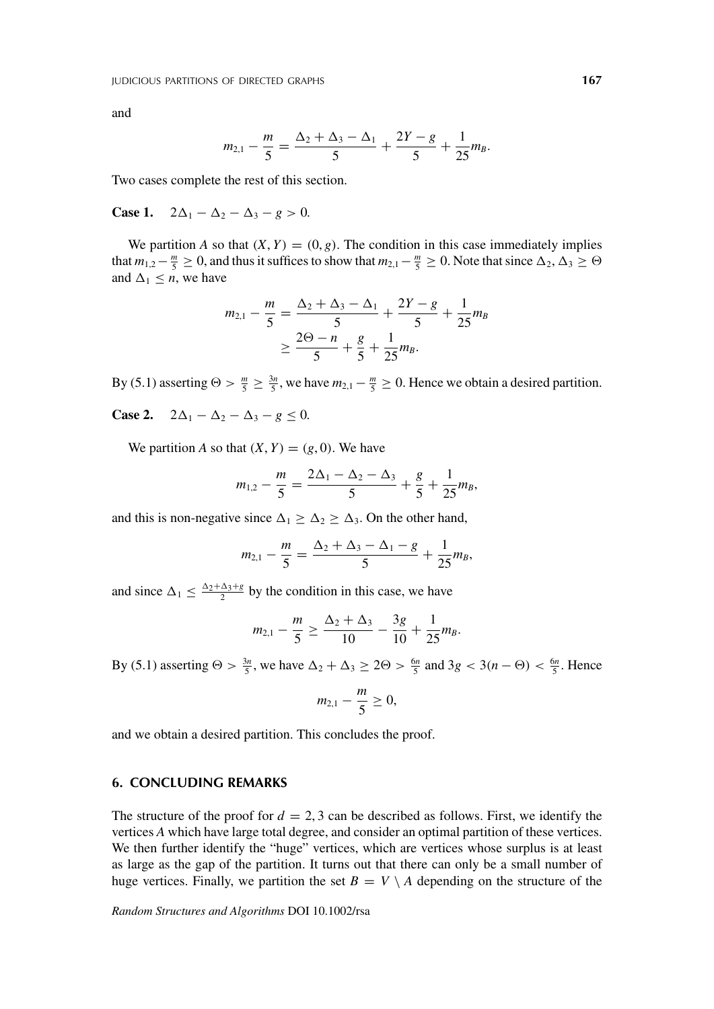and

$$
m_{2,1}-\frac{m}{5}=\frac{\Delta_2+\Delta_3-\Delta_1}{5}+\frac{2Y-g}{5}+\frac{1}{25}m_B.
$$

Two cases complete the rest of this section.

**Case 1.**  $2\Delta_1 - \Delta_2 - \Delta_3 - g > 0$ .

We partition *A* so that  $(X, Y) = (0, g)$ . The condition in this case immediately implies that  $m_{1,2}-\frac{m}{5}\geq 0$ , and thus it suffices to show that  $m_{2,1}-\frac{m}{5}\geq 0$ . Note that since  $\Delta_2, \Delta_3\geq \Theta$ and  $\Delta_1 \leq n$ , we have

$$
m_{2,1} - \frac{m}{5} = \frac{\Delta_2 + \Delta_3 - \Delta_1}{5} + \frac{2Y - g}{5} + \frac{1}{25}m_B
$$
  
 
$$
\geq \frac{2\Theta - n}{5} + \frac{g}{5} + \frac{1}{25}m_B.
$$

By (5.1) asserting  $\Theta > \frac{m}{5} \ge \frac{3n}{5}$ , we have  $m_{2,1} - \frac{m}{5} \ge 0$ . Hence we obtain a desired partition.

**Case 2.**  $2\Delta_1 - \Delta_2 - \Delta_3 - g \le 0$ .

We partition *A* so that  $(X, Y) = (g, 0)$ . We have

$$
m_{1,2}-\frac{m}{5}=\frac{2\Delta_1-\Delta_2-\Delta_3}{5}+\frac{g}{5}+\frac{1}{25}m_B,
$$

and this is non-negative since  $\Delta_1 \geq \Delta_2 \geq \Delta_3$ . On the other hand,

$$
m_{2,1}-\frac{m}{5}=\frac{\Delta_2+\Delta_3-\Delta_1-g}{5}+\frac{1}{25}m_B,
$$

and since  $\Delta_1 \leq \frac{\Delta_2 + \Delta_3 + g}{2}$  by the condition in this case, we have

$$
m_{2,1}-\frac{m}{5}\geq \frac{\Delta_2+\Delta_3}{10}-\frac{3g}{10}+\frac{1}{25}m_B.
$$

By (5.1) asserting  $\Theta > \frac{3n}{5}$ , we have  $\Delta_2 + \Delta_3 \ge 2\Theta > \frac{6n}{5}$  and  $3g < 3(n - \Theta) < \frac{6n}{5}$ . Hence

$$
m_{2,1}-\frac{m}{5}\geq 0,
$$

and we obtain a desired partition. This concludes the proof.

### **6. CONCLUDING REMARKS**

The structure of the proof for  $d = 2, 3$  can be described as follows. First, we identify the vertices *A* which have large total degree, and consider an optimal partition of these vertices. We then further identify the "huge" vertices, which are vertices whose surplus is at least as large as the gap of the partition. It turns out that there can only be a small number of huge vertices. Finally, we partition the set  $B = V \setminus A$  depending on the structure of the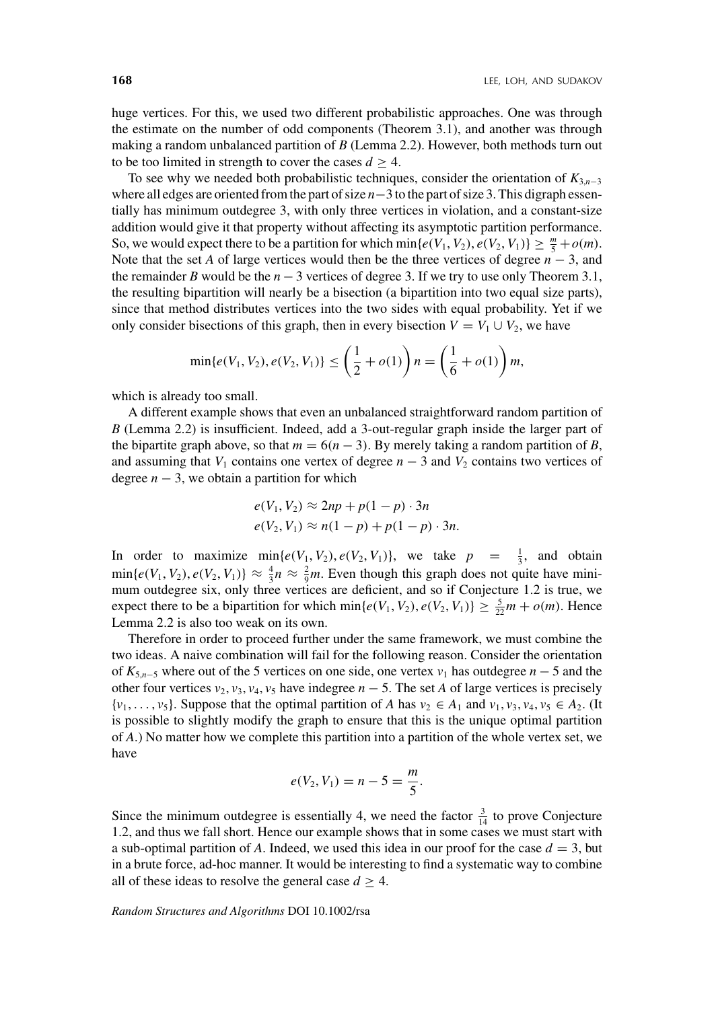huge vertices. For this, we used two different probabilistic approaches. One was through the estimate on the number of odd components (Theorem 3.1), and another was through making a random unbalanced partition of *B* (Lemma 2.2). However, both methods turn out to be too limited in strength to cover the cases  $d \geq 4$ .

To see why we needed both probabilistic techniques, consider the orientation of *K*3,*n*−<sup>3</sup> where all edges are oriented from the part of size *n*−3 to the part of size 3. This digraph essentially has minimum outdegree 3, with only three vertices in violation, and a constant-size addition would give it that property without affecting its asymptotic partition performance. So, we would expect there to be a partition for which  $\min\{e(V_1, V_2), e(V_2, V_1)\} \ge \frac{m}{5} + o(m)$ . Note that the set *A* of large vertices would then be the three vertices of degree  $n-3$ , and the remainder *B* would be the  $n-3$  vertices of degree 3. If we try to use only Theorem 3.1, the resulting bipartition will nearly be a bisection (a bipartition into two equal size parts), since that method distributes vertices into the two sides with equal probability. Yet if we only consider bisections of this graph, then in every bisection  $V = V_1 \cup V_2$ , we have

$$
\min\{e(V_1, V_2), e(V_2, V_1)\} \le \left(\frac{1}{2} + o(1)\right) n = \left(\frac{1}{6} + o(1)\right) m,
$$

which is already too small.

A different example shows that even an unbalanced straightforward random partition of *B* (Lemma 2.2) is insufficient. Indeed, add a 3-out-regular graph inside the larger part of the bipartite graph above, so that  $m = 6(n - 3)$ . By merely taking a random partition of *B*, and assuming that  $V_1$  contains one vertex of degree  $n-3$  and  $V_2$  contains two vertices of degree  $n - 3$ , we obtain a partition for which

$$
e(V_1, V_2) \approx 2np + p(1-p) \cdot 3n
$$
  

$$
e(V_2, V_1) \approx n(1-p) + p(1-p) \cdot 3n.
$$

In order to maximize  $\min\{e(V_1, V_2), e(V_2, V_1)\}$ , we take  $p = \frac{1}{3}$ , and obtain  $\min\{e(V_1, V_2), e(V_2, V_1)\} \approx \frac{4}{3}n \approx \frac{2}{9}m$ . Even though this graph does not quite have minimum outdegree six, only three vertices are deficient, and so if Conjecture 1.2 is true, we expect there to be a bipartition for which  $\min\{e(V_1, V_2), e(V_2, V_1)\} \ge \frac{5}{22}m + o(m)$ . Hence Lemma 2.2 is also too weak on its own.

Therefore in order to proceed further under the same framework, we must combine the two ideas. A naive combination will fail for the following reason. Consider the orientation of  $K_{5,n-5}$  where out of the 5 vertices on one side, one vertex  $v_1$  has outdegree  $n-5$  and the other four vertices  $v_2$ ,  $v_3$ ,  $v_4$ ,  $v_5$  have indegree  $n-5$ . The set *A* of large vertices is precisely  $\{v_1, \ldots, v_5\}$ . Suppose that the optimal partition of *A* has  $v_2 \in A_1$  and  $v_1, v_3, v_4, v_5 \in A_2$ . (It is possible to slightly modify the graph to ensure that this is the unique optimal partition of *A*.) No matter how we complete this partition into a partition of the whole vertex set, we have

$$
e(V_2, V_1) = n - 5 = \frac{m}{5}.
$$

Since the minimum outdegree is essentially 4, we need the factor  $\frac{3}{14}$  to prove Conjecture 1.2, and thus we fall short. Hence our example shows that in some cases we must start with a sub-optimal partition of A. Indeed, we used this idea in our proof for the case  $d = 3$ , but in a brute force, ad-hoc manner. It would be interesting to find a systematic way to combine all of these ideas to resolve the general case  $d \geq 4$ .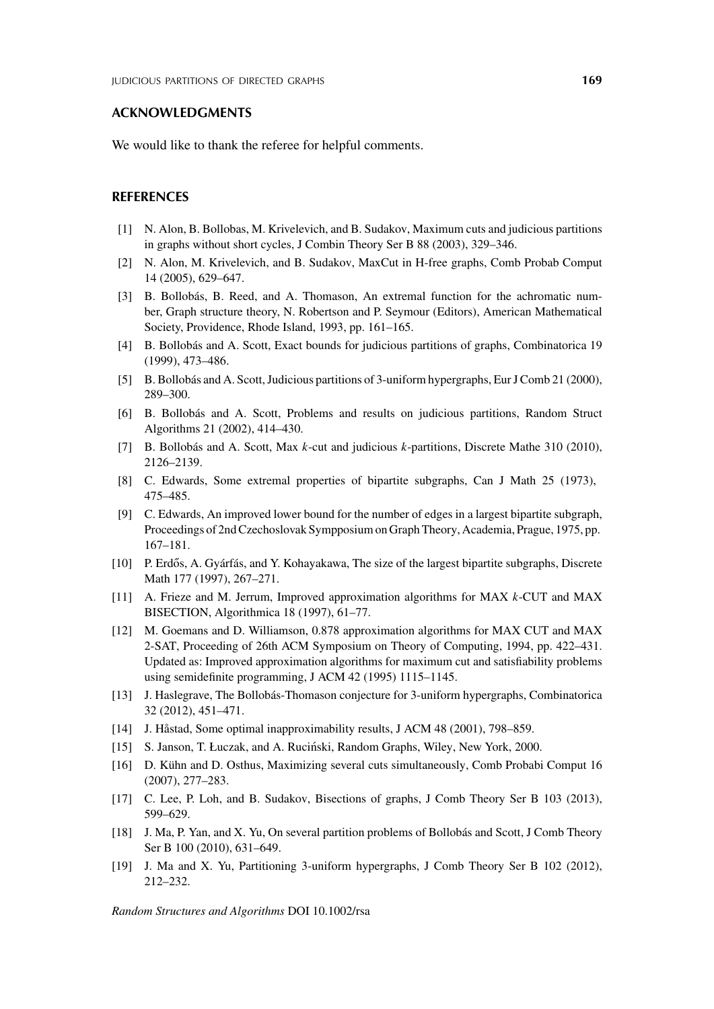#### **ACKNOWLEDGMENTS**

We would like to thank the referee for helpful comments.

#### **REFERENCES**

- [1] N. Alon, B. Bollobas, M. Krivelevich, and B. Sudakov, Maximum cuts and judicious partitions in graphs without short cycles, J Combin Theory Ser B 88 (2003), 329–346.
- [2] N. Alon, M. Krivelevich, and B. Sudakov, MaxCut in H-free graphs, Comb Probab Comput 14 (2005), 629–647.
- [3] B. Bollobás, B. Reed, and A. Thomason, An extremal function for the achromatic number, Graph structure theory, N. Robertson and P. Seymour (Editors), American Mathematical Society, Providence, Rhode Island, 1993, pp. 161–165.
- [4] B. Bollobás and A. Scott, Exact bounds for judicious partitions of graphs, Combinatorica 19 (1999), 473–486.
- [5] B. Bollobás and A. Scott, Judicious partitions of 3-uniform hypergraphs, Eur J Comb 21 (2000), 289–300.
- [6] B. Bollobás and A. Scott, Problems and results on judicious partitions, Random Struct Algorithms 21 (2002), 414–430.
- [7] B. Bollobás and A. Scott, Max *k*-cut and judicious *k*-partitions, Discrete Mathe 310 (2010), 2126–2139.
- [8] C. Edwards, Some extremal properties of bipartite subgraphs, Can J Math 25 (1973), 475–485.
- [9] C. Edwards, An improved lower bound for the number of edges in a largest bipartite subgraph, Proceedings of 2nd Czechoslovak Sympposium on Graph Theory, Academia, Prague, 1975, pp. 167–181.
- [10] P. Erdős, A. Gyárfás, and Y. Kohayakawa, The size of the largest bipartite subgraphs, Discrete Math 177 (1997), 267–271.
- [11] A. Frieze and M. Jerrum, Improved approximation algorithms for MAX *k*-CUT and MAX BISECTION, Algorithmica 18 (1997), 61–77.
- [12] M. Goemans and D. Williamson, 0.878 approximation algorithms for MAX CUT and MAX 2-SAT, Proceeding of 26th ACM Symposium on Theory of Computing, 1994, pp. 422–431. Updated as: Improved approximation algorithms for maximum cut and satisfiability problems using semidefinite programming, J ACM 42 (1995) 1115–1145.
- [13] J. Haslegrave, The Bollobás-Thomason conjecture for 3-uniform hypergraphs, Combinatorica 32 (2012), 451–471.
- [14] J. Håstad, Some optimal inapproximability results, J ACM 48 (2001), 798–859.
- [15] S. Janson, T. Łuczak, and A. Rucinski, Random Graphs, Wiley, New York, 2000. ´
- [16] D. Kühn and D. Osthus, Maximizing several cuts simultaneously, Comb Probabi Comput 16 (2007), 277–283.
- [17] C. Lee, P. Loh, and B. Sudakov, Bisections of graphs, J Comb Theory Ser B 103 (2013), 599–629.
- [18] J. Ma, P. Yan, and X. Yu, On several partition problems of Bollobás and Scott, J Comb Theory Ser B 100 (2010), 631–649.
- [19] J. Ma and X. Yu, Partitioning 3-uniform hypergraphs, J Comb Theory Ser B 102 (2012), 212–232.